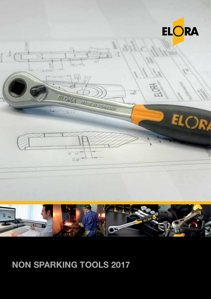## **non sparking tools 2017**



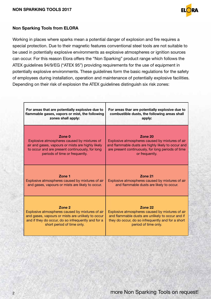

### **Non Sparking Tools from ELORA**

Working in places where sparks mean a potential danger of explosion and fire requires a special protection. Due to their magnetic features conventional steel tools are not suitable to be used in potentially explosive environments as explosive atmospheres or ignition sources can occur. For this reason Elora offers the "Non Sparking" product range which follows the ATEX guidelines 94/9/EG ("ATEX 95") providing requirements for the use of equipment in potentially explosive environments. These guidelines form the basic regulations for the safety of employees during installation, operation and maintenance of potentially explosive facilities. Depending on their risk of explosion the ATEX guidelines distinguish six risk zones:

| For areas that are potentially explosive due to    | For areas thar are potentially explosive due to    |
|----------------------------------------------------|----------------------------------------------------|
| flammable gases, vapors or mist, the following     | combustible dusts, the following areas shall       |
| zones shall apply:                                 | apply:                                             |
| Zone 0                                             | Zone 20                                            |
| Explosive atmospheres caused by mixtures of        | Explosive atmospheres caused by mixtures of air    |
| air and gases, vapours or mists are highly likely  | and flammable dusts are highly likely to occur and |
| to occur and are present continuously, for long    | are present continuously, for long periods of time |
| periods of time or frequently.                     | or frequently.                                     |
| Zone 1                                             | Zone 21                                            |
| Explosive atmospheres caused by mixtures of air    | Explosive atmospheres caused by mixtures of air    |
| and gases, vapours or mists are likely to occur.   | and flammable dusts are likely to occur.           |
| Zone 2                                             | Zone 22                                            |
| Explosive atmospheres caused by mixtures of air    | Explosive atmospheres caused by mixtures of air    |
| and gases, vapours or mists are unlikely to occur  | and flammable dusts are unlikely to occur and if   |
| and if they do occur, do so infrequently and for a | they do occur, do so infrequently and for a short  |
| short period of time only.                         | period of time only.                               |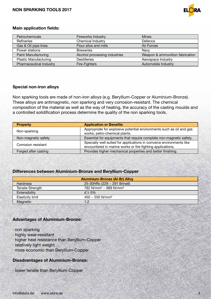

### **Main application fields:**

| Petrochemicals               | <b>Fireworks Industry</b>     | <b>Mines</b>                    |
|------------------------------|-------------------------------|---------------------------------|
| Refineries                   | Chemical Industry             | Defence                         |
| Gas & Oil pipe lines         | Flour silos and mills         | Air Forces                      |
| Power stations               | <b>Breweries</b>              | Navy                            |
| <b>Paint Manufacturing</b>   | Alcohol processing industries | Weapon & ammunition fabrication |
| <b>Plastic Manufacturing</b> | <b>Destilleries</b>           | Aerospace Industry              |
| Pharmaceutical Industry      | Fire-Fighters                 | Automobile Industry             |

### **Special non-iron alloys**

Non sparking tools are made of non-iron alloys (e.g. Beryllium-Copper or Aluminium-Bronze). These alloys are antimagnetic, non sparking and very corrosion-resistant. The chemical composition of the material as well as the way of heating, the accuracy of the casting moulds and a controlled solidification process determine the quality of the non sparking tools.

| <b>Property</b>      | <b>Application or Benefits</b>                                                                                                      |
|----------------------|-------------------------------------------------------------------------------------------------------------------------------------|
| Non-sparking         | Appropriate for explosive potential environments such as oil and gas<br>works, petro-chemical plants.                               |
| Non-magnetic safety  | Essential for equipments that require complete non-magnetic safety.                                                                 |
| Corrosion resistant  | Specially well suited for applications in corrosive environments like<br>encountered in marine works or fire-fighting applications. |
| Forged after casting | Provides higher mechanical properties and better finishing.                                                                         |

### **Differences between Aluminium-Bronze and Beryllium-Copper**

| <b>Aluminium-Bronze (Al-Br) Alloy</b> |                                               |  |  |  |  |
|---------------------------------------|-----------------------------------------------|--|--|--|--|
| <b>Hardness</b>                       | 25-30HRc (229 ~ 291 Brinell)                  |  |  |  |  |
| Tensile Strength                      | 782 N/mm <sup>2</sup> ~ 989 N/mm <sup>2</sup> |  |  |  |  |
| Extensibility                         | $d \geq 5\%$                                  |  |  |  |  |
| <b>Elasticity limit</b>               | $450 \sim 550$ N/mm <sup>2</sup>              |  |  |  |  |
| Magnetic                              | 1.2                                           |  |  |  |  |

### **Advantages of Aluminium-Bronze:**

- · non sparking
- · highly wear-resistant
- · higher heat resistance than Beryllium-Copper
- · relatively light weight
- · more economic than Beryllium-Copper

### **Disadvantages of Aluminium-Bronze:**

· lower tensile than Beryllium-Copper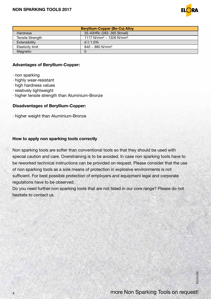

| <b>Beryllium-Copper (Be-Cu) Alloy</b> |                                                 |  |  |
|---------------------------------------|-------------------------------------------------|--|--|
| <b>Hardness</b>                       | 35-40HRc (283~365 Brinell)                      |  |  |
| Tensile Strength                      | 1117 N/mm <sup>2</sup> ~ 1326 N/mm <sup>2</sup> |  |  |
| Extensibility                         | $d \ge 1.0\%$                                   |  |  |
| <b>Elasticity limit</b>               | $840 \sim 880$ N/mm <sup>2</sup>                |  |  |
| Magnetic                              |                                                 |  |  |

### **Advantages of Beryllium-Copper:**

- · non sparking
- · highly wear-resistant
- · high hardness values
- · relatively lightweight
- · higher tensile strength than Aluminium-Bronze

### **Disadvantages of Beryllium-Copper:**

· higher weight than Aluminium-Bronze

### **How to apply non sparking tools correctly**

Non sparking tools are softer than conventional tools so that they should be used with special caution and care. Overstraining is to be avoided. In case non sparking tools have to be reworked technical instructions can be provided on request. Please consider that the use of non sparking tools as a sole means of protection in explosive environments is not sufficient. For best possible protection of employers and equipment legal and corporate regulations have to be observed.

Do you need further non sparking tools that are not listed in our core range? Please do not hesitate to contact us.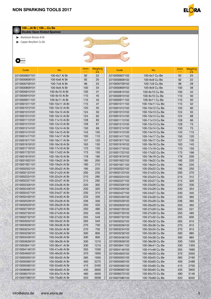**100-...Al Br | 100-...Cu Be**

**Double Open Ended Spanner**

- > Aluminium Bronze Al Br
- Copper Beryllium Cu Be

| ٠ |
|---|
|   |

 $\rightarrow$ 

| Code          | No.             | l/mm<br>$\mapsto$ | Weight/g<br>53 | Code          | No.             | l/mm<br>$\mapsto$ | Weight/g<br>55 |
|---------------|-----------------|-------------------|----------------|---------------|-----------------|-------------------|----------------|
| 2210000607101 | 100-6x7 Al Br   | 92                | 22             | 2210000607102 | 100-6x7 Cu Be   | 92                | 25             |
| 2210000608101 | 100-6x8 Al Br   | 92                | 20             | 2210000608102 | 100-6x8 Cu Be   | 92                | 22             |
| 2210000709101 | 100-7x9 Al Br   | 96                | 25             | 2210000709102 | 100-7x9 Cu Be   | 96                | 28             |
| 2210000809101 | 100-8x9 Al Br   | 100               | 34             | 2210000809102 | 100-8x9 Cu Be   | 100               | 38             |
| 2210000810101 | 100-8x10 Al Br  | 100               | 31             | 2210000810102 | 100-8x10 Cu Be  | 100               | 34             |
| 2210000910101 | 100-9x10 Al Br  | 110               | 45             | 2210000910102 | 100-9x10 Cu Be  | 110               | 50             |
| 2210000911101 | 100-9x11 Al Br  | 110               | 45             | 2210000911102 | 100-9x11 Cu Be  | 110               | 50             |
| 2210001011101 | 100-10x11 Al Br | 115               | 47             | 2210001011102 | 100-10x11 Cu Be | 115               | 52             |
| 2210001012101 | 100-10x12 Al Br | 120               | 55             | 2210001012102 | 100-10x12 Cu Be | 120               | 60             |
| 2210001013101 | 100-10x13 Al Br | 124               | 50             | 2210001013102 | 100-10x13 Cu Be | 124               | 55             |
| 2210001014101 | 100-10x14 Al Br | 124               | 62             | 2210001014102 | 100-10x14 Cu Be | 124               | 68             |
| 2210001113101 | 100-11x13 Al Br | 128               | 60             | 2210001113102 | 100-11x13 Cu Be | 128               | 66             |
| 2210001213101 | 100-12x13 Al Br | 128               | 67             | 2210001213102 | 100-12x13 Cu Be | 128               | 73             |
| 2210001214101 | 100-12x14 Al Br | 130               | 69             | 2210001214102 | 100-12x14 Cu Be | 130               | 75             |
| 2210001415101 | 100-14x15 Al Br | 143               | 105            | 2210001415102 | 100-14x15 Cu Be | 143               | 115            |
| 2210001417101 | 100-14x17 Al Br | 150               | 110            | 2210001417102 | 100-14x17 Cu Be | 150               | 120            |
| 2210001617101 | 100-16x17 Al Br | 157               | 120            | 2210001617102 | 100-16x17 Cu Be | 157               | 130            |
| 2210001618101 | 100-16x18 Al Br | 163               | 130            | 2210001618102 | 100-16x18 Cu Be | 163               | 145            |
| 2210001719101 | 100-17x19 Al Br | 170               | 135            | 2210001719102 | 100-17x19 Cu Be | 170               | 150            |
| 2210001722101 | 100-17x22 Al Br | 173               | 150            | 2210001722102 | 100-17x22 Cu Be | 173               | 166            |
| 2210001819101 | 100-18x19 Al Br | 179               | 180            | 2210001819102 | 100-18x19 Cu Be | 179               | 200            |
| 2210001922101 | 100-19x22 Al Br | 185               | 200            | 2210001922102 | 100-19x22 Cu Be | 185               | 220            |
| 2210001921101 | 100-19x24 Al Br | 190               | 210            | 2210001921102 | 100-19x24 Cu Be | 190               | 235            |
| 2210002022101 | 100-20x22 Al Br | 195               | 225            | 2210002022102 | 100-20x22 Cu Be | 195               | 250            |
| 2210002123101 | 100-21x23 Al Br | 200               | 235            | 2210002123102 | 100-21x23 Cu Be | 200               | 270            |
| 2210002224101 | 100-22x24 Al Br | 210               | 285            | 2210002224102 | 100-22x24 Cu Be | 210               | 312            |
| 2210002227101 | 100-22x27 Al Br | 215               | 292            | 2210002227102 | 100-22x27 Cu Be | 215               | 320            |
| 2210002326101 | 100-23x26 Al Br | 220               | 302            | 2210002326102 | 100-23x26 Cu Be | 220               | 330            |
| 2210002426101 | 100-24x26 Al Br | 230               | 320            | 2210002426102 | 100-24x26 Cu Be | 230               | 354            |
| 2210002427101 | 100-24x27 Al Br | 230               | 310            | 2210002427102 | 100-24x27 Cu Be | 230               | 345            |
| 2210002430101 | 100-24x30 Al Br | 233               | 330            | 2210002430102 | 100-24x30 Cu Be | 233               | 365            |
| 2210002528101 | 100-25x28 Al Br | 236               | 330            | 2210002528102 | 100-25x28 Cu Be | 236               | 365            |
| 2210002629101 | 100-26x29 Al Br | 250               | 420            | 2210002629102 | 100-26x29 Cu Be | 250               | 462            |
| 2210002729101 | 100-27x29 Al Br | 250               | 480            | 2210002729102 | 100-27x29 Cu Be | 250               | 531            |
| 2210002730101 | 100-27x30 Al Br | 250               | 430            | 2210002730102 | 100-27x30 Cu Be | 250               | 485            |
| 2210002732101 | 100-27x32 Al Br | 255               | 549            | 2210002732102 | 100-27x32 Cu Be | 255               | 600            |
| 2210003032101 | 100-30x32 AI Br | 265               | 540            | 2210003032102 | 100-30x32 Cu Be | 265               | 610            |
| 2210003036101 | 100-30x36 Al Br | 270               | 730            | 2210003036102 | 100-30x36 Cu Be | 270               | 815            |
| 2210003234101 | 100-32x34 Al Br | 270               | 730            | 2210003234102 | 100-32x34 Cu Be | 270               | 815            |
| 2210003236101 | 100-32x36 Al Br | 300               | 800            | 2210003236102 | 100-32x36 Cu Be | 300               | 885            |
| 2210003436101 | 100-34x36 Al Br | 300               | 800            | 2210003436102 | 100-34x36 Cu Be | 300               | 885            |
| 2210003638101 | 100-36x38 Al Br | 330               | 1210           | 2210003638102 | 100-36x38 Cu Be | 330               | 1350           |
| 2210003641101 | 100-36x41 Al Br | 330               | 1210           | 2210003641102 | 100-36x41 Cu Be | 330               | 1350           |
| 2210004146101 | 100-41x46 Al Br | 355               | 1530           | 2210004146102 | 100-41x46 Cu Be | 355               | 1690           |
| 2210004650101 | 100-46x50 Al Br | 370               | 1850           | 2210004650102 | 100-46x50 Cu Be | 370               | 2050           |
| 2210005055101 | 100-50x55 Al Br | 385               | 1950           | 2210005055102 | 100-50x55 Cu Be | 385               | 2160           |
| 2210005060101 | 100-50x60 Al Br | 400               | 2275           | 2210005060102 | 100-50x60 Cu Be | 400               | 2488           |
| 2210005560101 | 100-55x60 Al Br | 415               | 2450           | 2210005560102 | 100-55x60 Cu Be | 415               | 2700           |
| 2210006065101 | 100-60x65 Al Br | 435               | 3600           | 2210006065102 | 100-60x65 Cu Be | 435               | 3950           |
| 2210006570101 | 100-65x70 Al Br | 480               | 4650           | 2210006570102 | 100-65x70 Cu Be | 480               | 5146           |
| 2210007080101 | 100-70x80 Al Br | 520               | 5638           | 2210007080102 | 100-70x80 Cu Be | 520               | 6202           |

EL

**RA**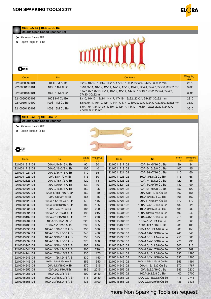

**100S-...Al Br | 100S-... Cu Be Double Open Ended Spanner Set**

> Aluminium Bronze Al Br

Copper Beryllium Cu Be

 $\overline{\mathbf{O}}$ mm



| Code          | No.            | Contents                                                                                    | Weight/g<br>55 |
|---------------|----------------|---------------------------------------------------------------------------------------------|----------------|
| 2210050090101 | 100S 9M AI Br  | 8x10, 10x12, 12x14, 14x17, 17x19, 19x22, 22x24, 24x27, 30x32 mm                             | 2570           |
| 2210050110101 | 100S 11M AI Br | 8x10, 9x11, 10x12, 12x14, 14x17, 17x19, 19x22, 22x24, 24x27, 27x30, 30x32 mm                | 3230           |
| 2210050130101 | 100S 13M AI Br | 5,5x7, 6x7, 8x10, 9x11, 10x12, 12x14, 14x17, 17x19, 19x22, 22x24, 24x27,<br>27x30, 30x32 mm | 3295           |
| 2210050090102 | 100S 9M Cu Be  | 8x10, 10x12, 12x14, 14x17, 17x19, 19x22, 22x24, 24x27, 30x32 mm                             | 2810           |
| 2210050110102 | 100S 11M Cu Be | 8x10, 9x11, 10x12, 12x14, 14x17, 17x19, 19x22, 22x24, 24x27, 27x30, 30x32 mm                | 3530           |
| 2210050130102 | 100S 13M Cu Be | 5,5x7, 6x7, 8x10, 9x11, 10x12, 12x14, 14x17, 17x19, 19x22, 22x24, 24x27,<br>27x30, 30x32 mm | 3610           |

### **100A-...Al Br | 100-...Cu Be Double Open Ended Spanner**

> Aluminium Bronze Al Br

Copper Beryllium Cu Be

 $\overline{\bigcirc}$  AF"



| Code          | No.                      | l/mm<br>$\mapsto$ | Weight/g<br>55 | Code          | No.                      | l/mm<br>$\mapsto$ | Weight/g<br>55 |
|---------------|--------------------------|-------------------|----------------|---------------|--------------------------|-------------------|----------------|
| 2210011317101 | 100A-1/4x5/16 Al Br      | 90                | 30             | 2210011317102 | 100A-1/4x5/16 Cu Be      | 90                | 34             |
| 2210011719101 | 100A-5/16x3/8 Al Br      | 100               | 40             | 2210011719102 | 100A-5/16x3/8 Cu Be      | 100               | 45             |
| 2210011921101 | 100A-3/8x7/16 AI Br      | 110               | 55             | 2210011921102 | 100A-3/8x7/16 Cu Be      | 110               | 60             |
| 2210011923101 | 100A-3/8x1/2 Al Br       | 115               | 60             | 2210011923102 | 100A-3/8x1/2 Cu Be       | 115               | 68             |
| 2210012123101 | 100A-7/16x1/2 Al Br      | 120               | 78             | 2210012123102 | 100A-7/16x1/2 Cu Be      | 120               | 85             |
| 2210012324101 | 100A-1/2x9/16 AI Br      | 130               | 80             | 2210012324102 | 100A-1/2x9/16 Cu Be      | 130               | 90             |
| 2210012426101 | 100A-9/16x5/8 AI Br      | 150               | 105            | 2210012426102 | 100A-9/16x5/8 Cu Be      | 150               | 120            |
| 2210012627101 | 100A-5/8x11/16 Al Br     | 160               | 130            | 2210012627102 | 100A-5/8x11/16 Cu Be     | 160               | 155            |
| 2210012628101 | 100A-5/8x3/4 Al Br       | 165               | 135            | 2210012628102 | 100A-5/8x3/4 Cu Be       | 165               | 160            |
| 2210012728101 | 100A-11/16x3/4 Al Br     | 170               | 145            | 2210012728102 | 100A-11/16x3/4 Cu Be     | 170               | 170            |
| 2210012830101 | 100A-3/4x13/16 Al Br     | 180               | 185            | 2210012830102 | 100A-3/4x13/16 Cu Be     | 180               | 225            |
| 2210012831101 | 100A-3/4x7/8 AI Br       | 185               | 200            | 2210012831102 | 100A-3/4x7/8 Cu Be       | 185               | 230            |
| 2210013031101 | 100A-13/16x7/8 Al Br     | 190               | 215            | 2210013031102 | 100A-13/16x7/8 Cu Be     | 190               | 240            |
| 2210013132101 | 100A-7/8x15/16 Al Br     | 210               | 270            | 2210013132102 | 100A-7/8x15/16 Cu Be     | 210               | 305            |
| 2210013234101 | 100A-15/16x1 Al Br       | 220               | 305            | 2210013234102 | 100A-15/16x1 Cu Be       | 220               | 365            |
| 2210013435101 | 100A-1x1.1/16 Al Br      | 230               | 355            | 2210013435102 | 100A-1x1.1/16 Cu Be      | 230               | 405            |
| 2210013536101 | 100A-1.1/16x1.1/8 Al Br  | 235               | 380            | 2210013536102 | 100A-1.1/16x1.1/8 Cu Be  | 235               | 450            |
| 2210013637101 | 100A-1.1/8x1.3/16 Al Br  | 245               | 480            | 2210013637102 | 100A-1.1/8x1.3/16 Cu Be  | 245               | 548            |
| 2210013738101 | 100A-1.3/16x1.1/4 Al Br  | 250               | 525            | 2210013738102 | 100A-1.3/16x1.1/4 Cu Be  | 250               | 600            |
| 2210013839101 | 100A-1.1/4x1.5/16 Al Br  | 270               | 660            | 2210013839102 | 100A-1.1/4x1.5/16 Cu Be  | 270               | 730            |
| 2210013940101 | 100A-1.5/16x1.3/8 Al Br  | 300               | 830            | 2210013940102 | 100A-1.5/16x1.3/8 Cu Be  | 300               | 913            |
| 2210014041101 | 100A-1.3/8x1.7/16 Al Br  | 300               | 790            | 2210014041102 | 100A-1.3/8x1.7/16 Cu Be  | 300               | 869            |
| 2210014144101 | 100A-1.7/16x1.5/8 Al Br  | 330               | 1170           | 2210014144102 | 100A-1.7/16x1.5/8 Cu Be  | 330               | 1295           |
| 2210014243101 | 100A-1.1/2x1.9/16 Al Br  | 330               | 1150           | 2210014243102 | 100A-1.1/2x1.9/16 Cu Be  | 330               | 1265           |
| 2210014446101 | 100A-1.5/8x1.13/16 Al Br | 355               | 1350           | 2210014446102 | 100A-1.5/8x1.13/16 Cu Be | 355               | 1494           |
| 2210014649101 | 100A-1.13/16x2 Al Br     | 370               | 1615           | 2210014649102 | 100A-1.13/16x2 Cu Be     | 370               | 1787           |
| 2210014952101 | 100A-2x2.3/16 Al Br      | 385               | 2015           | 2210014952102 | 100A-2x2.3/16 Cu Be      | 385               | 2230           |
| 2210014955101 | 100A-2x2.3/8 Al Br       | 400               | 2440           | 2210014955102 | 100A-2x2.3/8 Cu Be       | 400               | 2700           |
| 2210015255101 | 100A-2.3/16x2.3/8 Al Br  | 415               | 2480           | 2210015255102 | 100A-2.3/16x2.3/8 Cu Be  | 415               | 2745           |
| 2210015558101 | 100A-2.3/8x2.9/16 AI Br  | 435               | 3100           | 2210015558102 | 100A-2.3/8x2.9/16 Cu Be  | 435               | 3431           |

### 6 and 5 more Non Sparking Tools on request!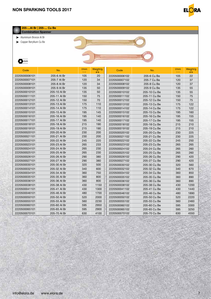**205-...Al Br | 205-... Cu Be**

**Combination Spanner**

> Aluminium Bronze Al Br

Copper Beryllium Cu Be

 $Q_{mm}$ 

| the contract of the contract of the contract of the contract of the contract of<br>and the company of the company of the company of the |  |
|-----------------------------------------------------------------------------------------------------------------------------------------|--|
|                                                                                                                                         |  |
| <b>Service Controller Controller</b>                                                                                                    |  |

| Code          | No.          | l/mm<br>$\mapsto$ | Weight/g<br>55 | Code          | No.          | l/mm<br>$\mapsto$ | Weight/g<br>55 |
|---------------|--------------|-------------------|----------------|---------------|--------------|-------------------|----------------|
| 2220500006101 | 205-6 Al Br  | 105               | 20             | 2220500006102 | 205-6 Cu Be  | 105               | 22             |
| 2220500007101 | 205-7 Al Br  | 120               | 34             | 2220500007102 | 205-7 Cu Be  | 120               | 37             |
| 2220500008101 | 205-8 Al Br  | 120               | 34             | 2220500008102 | 205-8 Cu Be  | 120               | 37             |
| 2220500009101 | 205-9 Al Br  | 135               | 50             | 2220500009102 | 205-9 Cu Be  | 135               | 55             |
| 2220500010101 | 205-10 Al Br | 135               | 50             | 2220500010102 | 205-10 Cu Be | 135               | 55             |
| 2220500011101 | 205-11 Al Br | 150               | 75             | 2220500011102 | 205-11 Cu Be | 150               | 75             |
| 2220500012101 | 205-12 Al Br | 150               | 70             | 2220500012102 | 205-12 Cu Be | 150               | 75             |
| 2220500013101 | 205-13 Al Br | 175               | 110            | 2220500013102 | 205-13 Cu Be | 175               | 122            |
| 2220500014101 | 205-14 Al Br | 175               | 110            | 2220500014102 | 205-14 Cu Be | 175               | 122            |
| 2220500015101 | 205-15 Al Br | 195               | 145            | 2220500015102 | 205-15 Cu Be | 195               | 160            |
| 2220500016101 | 205-16 Al Br | 195               | 140            | 2220500016102 | 205-16 Cu Be | 195               | 155            |
| 2220500017101 | 205-17 Al Br | 195               | 140            | 2220500017102 | 205-17 Cu Be | 195               | 155            |
| 2220500018101 | 205-18 Al Br | 215               | 190            | 2220500018102 | 205-18 Cu Be | 215               | 210            |
| 2220500019101 | 205-19 Al Br | 215               | 190            | 2220500019102 | 205-19 Cu Be | 215               | 210            |
| 2220500020101 | 205-20 Al Br | 230               | 200            | 2220500020102 | 205-20 Cu Be | 230               | 225            |
| 2220500021101 | 205-21 Al Br | 230               | 200            | 2220500021102 | 205-21 Cu Be | 230               | 225            |
| 2220500022101 | 205-22 Al Br | 245               | 220            | 2220500022102 | 205-22 Cu Be | 245               | 250            |
| 2220500023101 | 205-23 Al Br | 265               | 233            | 2220500023102 | 205-23 Cu Be | 265               | 265            |
| 2220500024101 | 205-24 Al Br | 265               | 230            | 2220500024102 | 205-24 Cu Be | 265               | 260            |
| 2220500025101 | 205-25 Al Br | 265               | 230            | 2220500025102 | 205-25 Cu Be | 265               | 260            |
| 2220500026101 | 205-26 Al Br | 290               | 380            | 2220500026102 | 205-26 Cu Be | 290               | 420            |
| 2220500027101 | 205-27 Al Br | 290               | 380            | 2220500027102 | 205-27 Cu Be | 290               | 420            |
| 2220500030101 | 205-30 Al Br | 320               | 500            | 2220500030102 | 205-30 Cu Be | 320               | 560            |
| 2220500032101 | 205-32 Al Br | 340               | 600            | 2220500032102 | 205-32 Cu Be | 340               | 670            |
| 2220500034101 | 205-34 Al Br | 360               | 750            | 2220500034102 | 205-34 Cu Be | 360               | 850            |
| 2220500035101 | 205-35 Al Br | 360               | 800            | 2220500035102 | 205-35 Cu Be | 360               | 890            |
| 2220500036101 | 205-36 Al Br | 360               | 800            | 2220500036102 | 205-36 Cu Be | 360               | 890            |
| 2220500038101 | 205-38 Al Br | 430               | 1150           | 2220500038102 | 205-38 Cu Be | 430               | 1200           |
| 2220500041101 | 205-41 Al Br | 430               | 1300           | 2220500041102 | 205-41 Cu Be | 430               | 1440           |
| 2220500046101 | 205-46 Al Br | 480               | 1700           | 2220500046102 | 205-46 Cu Be | 480               | 1890           |
| 2220500050101 | 205-50 Al Br | 520               | 2000           | 2220500050102 | 205-50 Cu Be | 520               | 2220           |
| 2220500055101 | 205-55 Al Br | 560               | 2230           | 2220500055102 | 205-55 Cu Be | 560               | 2460           |
| 2220500060101 | 205-60 Al Br | 595               | 2950           | 2220500060102 | 205-60 Cu Be | 595               | 3300           |
| 2220500065101 | 205-65 Al Br | 595               | 2900           | 2220500065102 | 205-65 Cu Be | 595               | 3250           |
| 2220500070101 | 205-70 Al Br | 630               | 4100           | 2220500070102 | 205-70 Cu Be | 630               | 4550           |

 $EL($ 

**RA**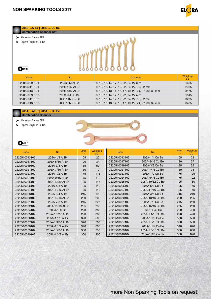

**205S-...Al Br | 205S-... Cu Be Combination Spanner Set**

> Aluminium Bronze Al Br

Copper Beryllium Cu Be

 $\overline{\mathbf{O}}$ mm

## 

| Code          | No.            | Contents                                             | Weight/g<br>55 |
|---------------|----------------|------------------------------------------------------|----------------|
| 2220550090101 | 205S 9M AI Br  | 8, 10, 12, 14, 17, 19, 22, 24, 27 mm                 | 1655           |
| 2220550110101 | 205S 11M AI Br | 8, 10, 12, 14, 17, 19, 22, 24, 27, 30, 32 mm         | 2955           |
| 2220550130101 | 205S 13M AI Br | 8, 10, 12, 13, 14, 16, 17, 19, 22, 24, 27, 30, 32 mm | 3175           |
| 2220550090102 | 205S 9M Cu Be  | 8, 10, 12, 14, 17, 19, 22, 24, 27 mm                 | 1815           |
| 2220550110102 | 205S 11M Cu Be | 8, 10, 12, 14, 17, 19, 22, 24, 27, 30, 32 mm         | 3235           |
| 2220550130102 | 205S 13M Cu Be | 8, 10, 12, 13, 14, 16, 17, 19, 22, 24, 27, 30, 32 mm | 3485           |

### **205A-...Al Br | 205A-... Cu Be Combination Spanner**

### > Aluminium Bronze Al Br

**EX Copper Beryllium Cu Be** 

### **OAF**

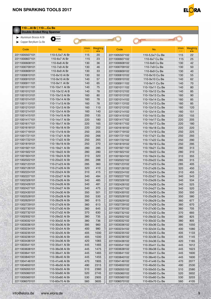| 110-Al Br   110-Cu Be          | <b>Double-Ended Ring Spanner</b>   |                       |                |                                |                                    |                       |                |
|--------------------------------|------------------------------------|-----------------------|----------------|--------------------------------|------------------------------------|-----------------------|----------------|
| Aluminium Bronze Al Br         |                                    |                       |                |                                |                                    |                       |                |
| Copper Beryllium Cu Be         | $\Box$ mm                          |                       |                |                                |                                    |                       |                |
|                                |                                    |                       |                |                                |                                    |                       |                |
| Code                           | No.                                | l/mm<br>$\longmapsto$ | Weight/g<br>దప | Code                           | No.                                | l/mm<br>$\longmapsto$ | Weight/g<br>55 |
| 2211005507101                  | 110-5,5x7 Al Br                    | 115                   | 20             | 2211005507102                  | 110-5,5x7 Cu Be                    | 115                   | 22             |
| 2211000607101                  | 110-6x7 Al Br                      | 115                   | 23             | 2211000607102                  | 110-6x7 Cu Be                      | 115                   | 25             |
| 2211000608101                  | 110-6x8 Al Br                      | 130                   | 36             | 2211000608102                  | 110-6x8 Cu Be                      | 130                   | 42             |
| 2211000709101                  | 110-7x9 Al Br                      | 130                   | 46             | 2211000709102                  | 110-7x9 Cu Be                      | 130                   | 50             |
| 2211000809101                  | 110-8x9 Al Br                      | 130                   | 33             | 2211000809102                  | 110-8x9 Cu Be                      | 130                   | 40             |
| 2211000810101                  | 110-8x10 Al Br                     | 130                   | 50             | 2211000810102                  | 110-8x10 Cu Be                     | 130                   | 55             |
| 2211000910101                  | 110-9x10 Al Br                     | 140                   | 57             | 2211000910102                  | 110-9x10 Cu Be                     | 140                   | 62             |
| 2211000911101                  | 110-9x11 Al Br                     | 140                   | 65             | 2211000911102                  | 110-9x11 Cu Be                     | 140                   | 70             |
| 2211001011101                  | 110-10x11 Al Br                    | 140                   | 75             | 2211001011102                  | 110-10x11 Cu Be                    | 140                   | 80             |
| 2211001012101                  | 110-10x12 AI B                     | 140                   | 78             | 2211001012102                  | 110-10x12 Cu Be                    | 140                   | 85             |
| 2211001013101                  | 110-10x13 Al Br                    | 160                   | 80             | 2211001013102                  | 110-10x13 Cu Be                    | 160                   | 90             |
| 2211001014101                  | 110-10x14 Al Br                    | 160                   | 78             | 2211001014102                  | 110-10x14 Cu Be                    | 160                   | 85             |
| 2211001113101                  | 110-11x13 Al Br                    | 160                   | 78             | 2211001113102                  | 110-11x13 Cu Be                    | 160                   | 85             |
| 2211001213101                  | 110-12x13 Al Br                    | 160                   | 110            | 2211001213102                  | 110-12x13 Cu Be                    | 160                   | 120            |
| 2211001214101                  | 110-12x14 Al Br                    | 160                   | 140            | 2211001214102                  | 110-12x14 Cu Be                    | 160                   | 151            |
| 2211001415101                  | 110-14x15 Al Br                    | 200                   | 135            | 2211001415102                  | 110-14x15 Cu Be                    | 200                   | 155            |
| 2211001417101                  | 110-14x17 Al Br                    | 220                   | 180            | 2211001417102                  | 110-14x17 Cu Be                    | 220                   | 205            |
| 2211001617101                  | 110-16x17 Al Br                    | 220                   | 165            | 2211001617102                  | 110-16x17 Cu Be                    | 220                   | 180            |
| 2211001618101                  | 110-16x18 Al Br                    | 220                   | 202            | 2211001618102                  | 110-16x18 Cu Be                    | 220                   | 220            |
| 2211001719101                  | 110-17x19 Al Br                    | 250                   | 205            | 2211001719102                  | 110-17x19 Cu Be                    | 250                   | 225            |
| 2211001721101                  | 110-17x21 Al Br                    | 250                   | 266            | 2211001721102                  | 110-17x21 Cu Be                    | 250                   | 293            |
| 2211001722101                  | 110-17x22 Al Br                    | 250                   | 265            | 2211001722102                  | 110-17x22 Cu Be                    | 250                   | 290            |
| 2211001819101                  | 110-18x19 Al Br                    | 250                   | 270            | 2211001819102                  | 110-18x19 Cu Be                    | 250                   | 295            |
| 2211001921101                  | 110-19x21 Al Br                    | 280<br>280            | 285<br>280     | 2211001921102                  | 110-19x21 Cu Be                    | 280                   | 313            |
| 2211001922101<br>2211001924101 | 110-19x22 Al Br<br>110-19x24 Al Br | 310                   | 320            | 2211001922102                  | 110-19x22 Cu Be                    | 280                   | 310            |
| 2211002022101                  | 110-20x22 Al Br                    | 285                   | 288            | 2211001924102<br>2211002022102 | 110-19x24 Cu Be<br>110-20x22 Cu Be | 310<br>285            | 355<br>315     |
| 2211002123101                  | 110-21x23 Al Br                    | 285                   | 360            | 2211002123102                  | 110-21x23 Cu Be                    | 285                   | 405            |
| 2211002126101                  | 110-21x26 Al Br                    | 320                   | 410            | 2211002126102                  | 110-21x26 Cu Be                    | 320                   | 450            |
| 2211002224101                  | 110-22x24 Al Br                    | 310                   | 415            | 2211002224102                  | 110-22x24 Cu Be                    | 310                   | 455            |
| 2211002227101                  | 110-22x27 Al Br                    | 340                   | 494            | 2211002227102                  | 110-22x27 Cu Be                    | 340                   | 543            |
| 2211002326101                  | 110-23x26 AI Br                    | 340                   | 485            | 2211002326102                  | 110-23x26 Cu Be                    | 340                   | 534            |
| 2211002426101                  | 110-24x26 Al Br                    | 340                   | 481            | 2211002426102                  | 110-24x26 Cu Be                    | 340                   | 525            |
| 2211002427101                  | 110-24x27 Al Br                    | 340                   | 475            | 2211002427102                  | 110-24x27 Cu Be                    | 340                   | 520            |
| 2211002430101                  | 110-24x30 Al Br                    | 350                   | 501            | 2211002430102                  | 110-24x30 Cu Be                    | 350                   | 550            |
| 2211002528101                  | 110-25x28 Al Br                    | 350                   | 530            | 2211002528102                  | 110-25x28 Cu Be                    | 350                   | 580            |
| 2211002629101                  | 110-26x29 Al Br                    | 360                   | 615            | 2211002629102                  | 110-26x29 Cu Be                    | 360                   | 677            |
| 2211002729101                  | 110-27x29 Al Br                    | 360                   | 613            | 2211002729102                  | 110-27x29 Cu Be                    | 360                   | 670            |
| 2211002730101                  | 110-27x30 Al Br                    | 360                   | 645            | 2211002730102                  | 110-27x30 Cu Be                    | 360                   | 705            |
| 2211002732101                  | 110-27x32 Al Br                    | 370                   | 630            | 2211002732102                  | 110-27x32 Cu Be                    | 370                   | 693            |
| 2211002932101                  | 110-29x32 Al Br                    | 380                   | 735            | 2211002932102                  | 110-29x32 Cu Be                    | 380                   | 825            |
| 2211003032101                  | 110-30x32 Al Br                    | 380                   | 736            | 2211003032102                  | 110-30x32 Cu Be                    | 380                   | 805            |
| 2211003036101                  | 110-30x36 Al Br                    | 395                   | 960            | 2211003036102                  | 110-30x36 Cu Be                    | 395                   | 1050           |
| 2211003234101                  | 110-32x34 Al Br                    | 400                   | 980            | 2211003234102                  | 110-32x34 Cu Be                    | 400                   | 1080           |
| 2211003235101                  | 110-32x35 Al Br                    | 405                   | 1030           | 2211003235102                  | 110-32x35 Cu Be                    | 405                   | 1133           |
| 2211003236101                  | 110-32x36 Al Br                    | 405                   | 1030           | 2211003236102                  | 110-32x36 Cu Be                    | 405                   | 1145           |
| 2211003436101                  | 110-34x36 Al Br                    | 420                   | 1065           | 2211003436102                  | 110-34x36 Cu Be                    | 420                   | 1165           |
| 2211003541101                  | 110-35x41 Al Br                    | 445                   | 1465           | 2211003541102                  | 110-35x41 Cu Be                    | 445                   | 1612           |
| 2211003638101                  | 110-36x38 Al Br                    | 445                   | 1475           | 2211003638102                  | 110-36x38 Cu Be                    | 445                   | 1623           |
| 2211003641101                  | 110-36x41 Al Br                    | 445                   | 1465           | 2211003641102                  | 110-36x41 Cu Be                    | 445                   | 1600           |
| 2211003840101                  | 110-38x40 Al Br                    | 445                   | 1455           | 2211003840102                  | 110-38x40 Cu Be                    | 445                   | 1600           |
| 2211004146101                  | 110-41x46 Al Br                    | 470                   | 1905           | 2211004146102                  | 110-41x46 Cu Be                    | 470                   | 2077           |
| 2211004650101                  | 110-46x50 Al Br                    | 490                   | 2315           | 2211004650102                  | 110-46x50 Cu Be                    | 490                   | 2530           |
| 2211005055101                  | 110-50x55 Al Br                    | 510                   | 2360           | 2211005055102                  | 110-50x55 Cu Be                    | 510                   | 2580           |
| 2211005060101                  | 110-50x60 Al Br                    | 520                   | 2745           | 2211005060102                  | 110-50x60 Cu Be                    | 520                   | 3002           |
| 2211005560101                  | 110-55x60 Al Br                    | 530                   | 2905           | 2211005560102                  | 110-55x60 Cu Be                    | 530                   | 3203           |
| 2211006070101                  | 110-60x70 Al Br                    | 560                   | 3605           | 2211006070102                  | 110-60x70 Cu Be                    | 560                   | 4105           |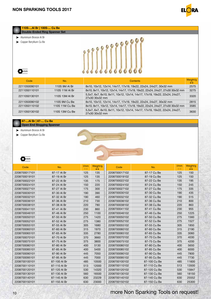

**110S-...Al Br | 100S-... Cu Be**

**Double-Ended Ring Spanner Set**

> Aluminium Bronze Al Br

Copper Beryllium Cu Be

 $\sum$ mm

# 

| Code          | No.            | <b>Contents</b>                                                                            | Weight/g<br>54 |
|---------------|----------------|--------------------------------------------------------------------------------------------|----------------|
| 2211050090101 | 110S 9M AI Br  | 8x10, 10x12, 12x14, 14x17, 17x19, 19x22, 22x24, 24x27, 30x32 mm                            | 2575           |
| 2211050110101 | 110S 11M AI Br | 8x10, 9x11, 10x12, 12x14, 14x17, 17x19, 19x22, 22x24, 24x27, 27x30 30x32 mm                | 3275           |
| 2211050130101 | 110S 13M AI Br | 5,5x7, 6x7, 8x10, 9x11, 10x12, 12x14, 14x17, 17x19, 19x22, 22x24, 24x27,<br>27x30 30x32 mm | 3320           |
| 2211050090102 | 110S 9M Cu Be  | 8x10, 10x12, 12x14, 14x17, 17x19, 19x22, 22x24, 24x27, 30x32 mm                            | 2815           |
| 2211050110102 | 110S 11M Cu Be | 8x10, 9x11, 10x12, 12x14, 14x17, 17x19, 19x22, 22x24, 24x27, 27x30 30x32 mm                | 3585           |
| 2211050130102 | 110S 13M Cu Be | 5,5x7, 6x7, 8x10, 9x11, 10x12, 12x14, 14x17, 17x19, 19x22, 22x24, 24x27,<br>27x30 30x32 mm | 3630           |

### **87-...Al Br | 87-... Cu Be Open End Slogging Spanner**

- > Aluminium Bronze Al Br
- 
- Copper Beryllium Cu Be



### $\overline{\mathbf{O}}$ mm

| Code          | No.          | l/mm<br>$\mapsto$ | Weight/g<br>55 | Code          | No.          | l/mm<br>$\mapsto$ | Weight/g<br>55 |
|---------------|--------------|-------------------|----------------|---------------|--------------|-------------------|----------------|
| 2208700017101 | 87-17 Al Br  | 125               | 135            | 2208700017102 | 87-17 Cu Be  | 125               | 150            |
| 2208700019101 | 87-19 Al Br  | 125               | 135            | 2208700019102 | 87-19 Cu Be  | 125               | 150            |
| 2208700022101 | 87-22 Al Br  | 135               | 175            | 2208700022102 | 87-22 Cu Be  | 135               | 195            |
| 2208700024101 | 87-24 Al Br  | 150               | 220            | 2208700024102 | 87-24 Cu Be  | 150               | 245            |
| 2208700027101 | 87-27 Al Br  | 175               | 300            | 2208700027102 | 87-27 Cu Be  | 175               | 335            |
| 2208700030101 | 87-30 Al Br  | 190               | 390            | 2208700030102 | 87-30 Cu Be  | 190               | 435            |
| 2208700032101 | 87-32 Al Br  | 190               | 460            | 2208700032102 | 87-32 Cu Be  | 190               | 515            |
| 2208700036101 | 87-36 Al Br  | 210               | 730            | 2208700036102 | 87-36 Cu Be  | 210               | 800            |
| 2208700038101 | 87-38 Al Br  | 220               | 780            | 2208700038102 | 87-38 Cu Be  | 220               | 863            |
| 2208700041101 | 87-41 Al Br  | 230               | 860            | 2208700041102 | 87-41 Cu Be  | 230               | 955            |
| 2208700046101 | 87-46 Al Br  | 250               | 1100           | 2208700046102 | 87-46 Cu Be  | 250               | 1225           |
| 2208700050101 | 87-50 Al Br  | 275               | 1420           | 2208700050102 | 87-50 Cu Be  | 275               | 1560           |
| 2208700052101 | 87-52 Al Br  | 275               | 1380           | 2208700052102 | 87-52 Cu Be  | 275               | 1527           |
| 2208700055101 | 87-55 Al Br  | 305               | 1680           | 2208700055102 | 87-55 Cu Be  | 305               | 1850           |
| 2208700060101 | 87-60 Al Br  | 315               | 1970           | 2208700060102 | 87-60 Cu Be  | 315               | 2190           |
| 2208700065101 | 87-65 Al Br  | 335               | 2780           | 2208700065102 | 87-65 Cu Be  | 335               | 3060           |
| 2208700070101 | 87-70 Al Br  | 370               | 3660           | 2208700070102 | 87-70 Cu Be  | 370               | 4030           |
| 2208700075101 | 87-75 Al Br  | 375               | 3800           | 2208700075102 | 87-75 Cu Be  | 375               | 4200           |
| 2208700080101 | 87-80 Al Br  | 400               | 5130           | 2208700080102 | 87-80 Cu Be  | 400               | 5650           |
| 2208700085101 | 87-85 Al Br  | 400               | 5400           | 2208700085102 | 87-85 Cu Be  | 400               | 6000           |
| 2208700090101 | 87-90 Al Br  | 445               | 7050           | 2208700090102 | 87-90 Cu Be  | 445               | 7800           |
| 2208700095101 | 87-95 Al Br  | 445               | 7000           | 2208700095102 | 87-95 Cu Be  | 445               | 7730           |
| 2208700100101 | 87-100 Al Br | 485               | 10500          | 2208700100102 | 87-100 Cu Be | 485               | 11600          |
| 2208700110101 | 87-110 Al Br | 513               | 12000          | 2208700110102 | 87-110 Cu Be | 513               | 13500          |
| 2208700120101 | 87-120 Al Br | 530               | 14320          | 2208700120102 | 87-120 Cu Be | 530               | 15847          |
| 2208700130101 | 87-130 Al Br | 560               | 16500          | 2208700130102 | 87-130 Cu Be | 560               | 18150          |
| 2208700140101 | 87-140 Al Br | 630               | 23229          | 2208700140102 | 87-140 Cu Be | 630               | 25552          |
| 2208700150101 | 87-150 Al Br | 630               | 23000          | 2208700150102 | 87-150 Cu Be | 630               | 25300          |

### 10 10 more Non Sparking Tools on request!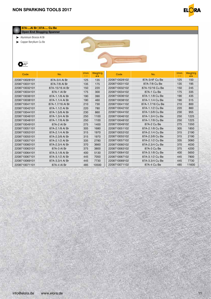**87A-...Al Br | 87A-... Cu Be**

**Open End Slogging Spanner**

- > Aluminium Bronze Al Br
- Copper Beryllium Cu Be

|  | <b>C. P.C. 21</b> | <b>Common Common</b><br><b>Tariff</b> |
|--|-------------------|---------------------------------------|

### $\overline{\bigcirc}$ AF"

| <b>Code</b>   | No.              | l/mm<br>$\mapsto$ | Weight/g<br>55 | Code          | No.              | l/mm<br>$\mapsto$ | Weight/g<br>54 |
|---------------|------------------|-------------------|----------------|---------------|------------------|-------------------|----------------|
| 2208710028101 | 87A-3/4 Al Br    | 125               | 135            | 2208710028102 | 87A-3/4F Cu Be   | 125               | 150            |
| 2208710031101 | 87A-7/8 Al Br    | 135               | 175            | 2208710031102 | 87A-7/8 Cu Be    | 135               | 195            |
| 2208710032101 | 87A-15/16 Al Br  | 150               | 220            | 2208710032102 | 87A-15/16 Cu Be  | 150               | 245            |
| 2208710034101 | 87A-1 Al Br      | 175               | 300            | 2208710034102 | 87A-1 Cu Be      | 175               | 335            |
| 2208710036101 | 87A-1.1/8 Al Br  | 190               | 390            | 2208710036102 | 87A-1.1/8 Cu Be  | 190               | 435            |
| 2208710038101 | 87A-1.1/4 Al Br  | 190               | 460            | 2208710038102 | 87A-1.1/4 Cu Be  | 190               | 515            |
| 2208710041101 | 87A-1.7/16 AI Br | 210               | 730            | 2208710041102 | 87A-1.7/16 Cu Be | 210               | 800            |
| 2208710042101 | 87A-1.1/2 Al Br  | 220               | 780            | 2208710042102 | 87A-1.1/2 Cu Be  | 220               | 860            |
| 2208710044101 | 87A-1.5/8 Al Br  | 230               | 860            | 2208710044102 | 87A-1.5/8 Cu Be  | 230               | 955            |
| 2208710046101 | 87A-1.3/4 Al Br  | 250               | 1100           | 2208710046102 | 87A-1.3/4 Cu Be  | 250               | 1225           |
| 2208710048101 | 87A-1.7/8 Al Br  | 250               | 1100           | 2208710048102 | 87A-1.7/8 Cu Be  | 250               | 1225           |
| 2208710049101 | 87A-2 Al Br      | 275               | 1400           | 2208710049102 | 87A-2 Cu Be      | 275               | 1550           |
| 2208710051101 | 87A-2.1/8 Al Br  | 305               | 1680           | 2208710051102 | 87A-2.1/8 Cu Be  | 305               | 1850           |
| 2208710053101 | 87A-2.1/4 Al Br  | 315               | 1970           | 2208710053102 | 87A-2.1/4 Cu Be  | 315               | 2190           |
| 2208710055101 | 87A-2.3/8 Al Br  | 315               | 1970           | 2208710055102 | 87A-2.3/8 Cu Be  | 315               | 2190           |
| 2208710057101 | 87A-2.1/2 Al Br  | 335               | 2780           | 2208710057102 | 87A-2.1/2 Cu Be  | 335               | 3060           |
| 2208710060101 | 87A-2.3/4 Al Br  | 370               | 3660           | 2208710060102 | 87A-2.3/4 Cu Be  | 370               | 4030           |
| 2208710063101 | 87A-3 Al Br      | 375               | 3800           | 2208710063102 | 87A-3 Cu Be      | 375               | 4200           |
| 2208710064101 | 87A-3.1/8 Al Br  | 400               | 5130           | 2208710064102 | 87A-3.1/8 Cu Be  | 400               | 5650           |
| 2208710067101 | 87A-3.1/2 Al Br  | 445               | 7050           | 2208710067102 | 87A-3.1/2 Cu Be  | 445               | 7800           |
| 2208710069101 | 87A-3.3/4 Al Br  | 445               | 7730           | 2208710069102 | 87A-3.3/4 Cu Be  | 445               | 7730           |
| 2208710071101 | 87A-4 Al Br      | 485               | 10500          | 2208710071102 | 87A-4 Cu Be      | 485               | 11600          |

E

RA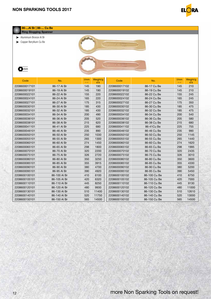**86-...Al Br | 86-... Cu Be Ring Slogging Spanner**

> Aluminium Bronze Al Br

Copper Beryllium Cu Be



| $\Box$ mm   |  |
|-------------|--|
| Code        |  |
| 08600017101 |  |
| 08600019101 |  |

| Code          | No.          | l/mm<br>$\longmapsto$ | Weight/g<br>దార | Code          | No.          | l/mm<br>$\mapsto$ | Weight/g<br>55 |
|---------------|--------------|-----------------------|-----------------|---------------|--------------|-------------------|----------------|
| 2208600017101 | 86-17 Al Br  | 145                   | 190             | 2208600017102 | 86-17 Cu Be  | 145               | 210            |
| 2208600019101 | 86-19 Al Br  | 145                   | 190             | 2208600019102 | 86-19 Cu Be  | 145               | 210            |
| 2208600022101 | 86-22 Al Br  | 155                   | 220             | 2208600022102 | 86-22 Cu Be  | 155               | 245            |
| 2208600024101 | 86-24 Al Br  | 165                   | 220             | 2208600024102 | 86-24 Cu Be  | 165               | 245            |
| 2208600027101 | 86-27 Al Br  | 175                   | 315             | 2208600027102 | 86-27 Cu Be  | 175               | 350            |
| 2208600030101 | 86-30 Al Br  | 185                   | 430             | 2208600030102 | 86-30 Cu Be  | 185               | 475            |
| 2208600032101 | 86-32 Al Br  | 185                   | 430             | 2208600032102 | 86-32 Cu Be  | 185               | 475            |
| 2208600034101 | 86-34 Al Br  | 200                   | 490             | 2208600034102 | 86-34 Cu Be  | 200               | 540            |
| 2208600036101 | 86-36 Al Br  | 205                   | 520             | 2208600036102 | 86-36 Cu Be  | 205               | 580            |
| 2208600038101 | 86-38 Al Br  | 215                   | 620             | 2208600038102 | 86-38 Cu Be  | 215               | 680            |
| 2208600041101 | 86-41 Al Br  | 225                   | 680             | 2208600041102 | 86-41Cu Be   | 225               | 755            |
| 2208600046101 | 86-46 Al Br  | 235                   | 890             | 2208600046102 | 86-46 Cu Be  | 235               | 990            |
| 2208600050101 | 86-50 Al Br  | 250                   | 1030            | 2208600050102 | 86-50 Cu Be  | 250               | 1145           |
| 2208600055101 | 86-55 Al Br  | 265                   | 1300            | 2208600055102 | 86-55 Cu Be  | 265               | 1440           |
| 2208600060101 | 86-60 Al Br  | 274                   | 1450            | 2208600060102 | 86-60 Cu Be  | 274               | 1620           |
| 2208600065101 | 86-65 Al Br  | 298                   | 1800            | 2208600065102 | 86-65 Cu Be  | 298               | 1995           |
| 2208600070101 | 86-70 Al Br  | 320                   | 2200            | 2208600070102 | 86-70 Cu Be  | 320               | 2435           |
| 2208600075101 | 86-75 Al Br  | 326                   | 2720            | 2208600075102 | 86-75 Cu Be  | 326               | 3010           |
| 2208600080101 | 86-80 Al Br  | 350                   | 3250            | 2208600080102 | 86-80 Cu Be  | 350               | 3600           |
| 2208600085101 | 86-85 Al Br  | 355                   | 3915            | 2208600085102 | 86-85 Cu Be  | 355               | 4330           |
| 2208600090101 | 86-90 Al Br  | 380                   | 4700            | 2208600090102 | 86-90 Cu Be  | 380               | 5200           |
| 2208600095101 | 86-95 Al Br  | 390                   | 4920            | 2208600095102 | 86-95 Cu Be  | 390               | 5450           |
| 2208600100101 | 86-100 Al Br | 410                   | 6100            | 2208600100102 | 86-100 Cu Be | 410               | 6750           |
| 2208600105101 | 86-105 Al Br | 420                   | 6320            | 2208600105102 | 86-105 Cu Be | 420               | 7000           |
| 2208600110101 | 86-110 Al Br | 445                   | 8250            | 2208600110102 | 86-110 Cu Be | 445               | 9130           |
| 2208600120101 | 86-120 Al Br | 480                   | 9930            | 2208600120102 | 86-120 Cu Be | 480               | 11000          |
| 2208600130101 | 86-130 Al Br | 510                   | 11400           | 2208600130102 | 86-130 Cu Be | 510               | 12610          |
| 2208600140101 | 86-140 Al Br | 520                   | 11750           | 2208600140102 | 86-140 Cu Be | 520               | 13000          |
| 2208600150101 | 86-150 Al Br | 565                   | 14500           | 2208600150102 | 86-150 Cu Be | 565               | 14500          |

 $l/mm$  Weight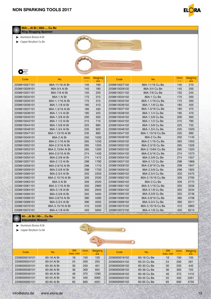**86A-...Al Br | 86A-... Cu Be Ring Slogging Spanner**

### > Aluminium Bronze Al Br

Copper Beryllium Cu Be

 $\overline{\mathsf{A}\mathsf{F}^n}$ 



| Code          | No.               | l/mm<br>$\mapsto$ | Weight/g<br>55 | Code          | No.               | l/mm<br>$\mapsto$ | Weight/g<br>55 |
|---------------|-------------------|-------------------|----------------|---------------|-------------------|-------------------|----------------|
| 2208610027101 | 86A-11/16 Al Br   | 145               | 190            | 2208610027102 | 86A-11/16 Cu Be   | 145               | 210            |
| 2208610028101 | 86A-3/4 Al Br     | 145               | 180            | 2208610028102 | 86A-3/4 Cu Be     | 145               | 200            |
| 2208610031101 | 86A-7/8 Al Br     | 155               | 220            | 2208610031102 | 86A-7/8 Cu Be     | 155               | 245            |
| 2208610034101 | 86A-1 Al Br       | 175               | 315            | 2208610034102 | 86A-1 Cu Be       | 175               | 350            |
| 2208610035101 | 86A-1.1/16 Al Br  | 175               | 315            | 2208610035102 | 86A-1.1/16 Cu Be  | 175               | 350            |
| 2208610036101 | 86A-1.1/8 Al Br   | 185               | 410            | 2208610036102 | 86A-1.1/8 Cu Be   | 185               | 455            |
| 2208610037101 | 86A-1.3/16 Al Br  | 185               | 430            | 2208610037102 | 86A-1.3/16 Cu Be  | 185               | 475            |
| 2208610038101 | 86A-1.1/4 Al Br   | 185               | 425            | 2208610038102 | 86A-1.1/4 Cu Be   | 185               | 470            |
| 2208610040101 | 86A-1.3/8 Al Br   | 200               | 500            | 2208610040102 | 86A-1.3/8 Cu Be   | 200               | 560            |
| 2208610042101 | 86A-1.1/2 Al Br   | 215               | 710            | 2208610042102 | 86A-1.1/2 Cu Be   | 215               | 790            |
| 2208610044101 | 86A-1.5/8 Al Br   | 225               | 680            | 2208610044102 | 86A-1.5/8 Cu Be   | 225               | 755            |
| 2208610046101 | 86A-1.3/4 Al Br   | 235               | 920            | 2208610046102 | 86A-1.3/4 Cu Be   | 235               | 1020           |
| 2208610047101 | 86A-1.13/16 Al Br | 235               | 890            | 2208610047102 | 86A-1.13/16 Cu Be | 235               | 990            |
| 2208610049101 | 86A-2 Al Br       | 250               | 1030           | 2208610049102 | 86A-2 Cu Be       | 250               | 1145           |
| 2208610050101 | 86A-2.1/16 Al Br  | 265               | 1230           | 2208610050102 | 86A-2.1/16 Cu Be  | 265               | 1353           |
| 2208610052101 | 86A-2.3/16 Al Br  | 265               | 1205           | 2208610052102 | 86A-2.3/16 Cu Be  | 265               | 1326           |
| 2208610053101 | 86A-2.13/64 Al Br | 265               | 1200           | 2208610053102 | 86A-2.13/64 Cu Be | 265               | 1320           |
| 2208610054101 | 86A-2.5/16 Al Br  | 274               | 1430           | 2208610054102 | 86A-2.5/16 Cu Be  | 274               | 1573           |
| 2208610055101 | 86A-2.3/8 Al Br   | 274               | 1415           | 2208610055102 | 86A-2.3/8 Cu Be   | 274               | 1557           |
| 2208610057101 | 86A-2.1/2 Al Br   | 298               | 1790           | 2208610057102 | 86A-2.1/2 Cu Be   | 298               | 1969           |
| 2208610058101 | 86A-2.9/16 Al Br  | 298               | 1770           | 2208610058102 | 86A-2.9/16 Cu Be  | 298               | 1947           |
| 2208610059101 | 86A-2.5/8 Al Br   | 298               | 1750           | 2208610059102 | 86A-2.5/8 Cu Be   | 298               | 1925           |
| 2208610060101 | 86A-2.3/4 Al Br   | 320               | 2250           | 2208610060102 | 86A-2.3/4 Cu Be   | 320               | 2475           |
| 2208610062101 | 86A-2.15/16 Al Br | 326               | 2530           | 2208610062102 | 86A-2.15/16 Cu Be | 326               | 2783           |
| 2208610063101 | 86A-3 Al Br       | 326               | 2520           | 2208610063102 | 86A-3 Cu Be       | 326               | 2772           |
| 2208610061101 | 86A-3.1/16 Al Br  | 350               | 2960           | 2208610061102 | 86A-3.1/16 Cu Be  | 350               | 3256           |
| 2208610064101 | 86A-3.1/8 Al Br   | 350               | 2940           | 2208610064102 | 86A-3.1/8 Cu Be   | 350               | 3234           |
| 2208610065101 | 86A-3.3/8 Al Br   | 355               | 3405           | 2208610065102 | 86A-3.3/8 Cu Be   | 355               | 3746           |
| 2208610066101 | 86A-3.9/16 Al Br  | 380               | 4280           | 2208610066102 | 86A-3.9/16 Cu Be  | 380               | 4708           |
| 2208610069101 | 86A-3.3/4 Al Br   | 390               | 4555           | 2208610069102 | 86A-3.3/4 Cu Be   | 390               | 5011           |
| 2208610070101 | 86A-3.15/16 Al Br | 410               | 5330           | 2208610070102 | 86A-3.15/16 Cu Be | 410               | 5863           |
| 2208610072101 | 86A-4.1/8 Al Br   | 420               | 5650           | 2208610072102 | 86A-4.1/8 Cu Be   | 420               | 6215           |

### **60-...Al Br | 60-... Cu Be Adjustable Wrench**

- > Aluminium Bronze Al Br
- Copper Beryllium Cu Be



| Code          | No.         | <b>SW</b><br>max, mm | l/mm<br>$\overline{\phantom{a}}$ | Weight/g<br>△△ | Code          | No.         | <b>SW</b><br>max. mm | l/mm<br>$\longmapsto$ | Weight/g<br>రచ |
|---------------|-------------|----------------------|----------------------------------|----------------|---------------|-------------|----------------------|-----------------------|----------------|
| 2206000018101 | 60-18 Al Br | 18                   | 150                              | 120            | 2206000018102 | 60-18 Cu Be | 18                   | 150                   | 135            |
| 2206000024101 | 60-24 Al Br | 24                   | 200                              | 255            | 2206000024102 | 60-24 Cu Be | 24                   | 200                   | 281            |
| 2206000030101 | 60-30 Al Br | 30                   | 250                              | 401            | 2206000030102 | 60-30 Cu Be | 30                   | 250                   | 440            |
| 2206000036101 | 60-36 Al Br | 36                   | 300                              | 655            | 2206000036102 | 60-36 Cu Be | 36                   | 300                   | 720            |
| 2206000046101 | 60-46 Al Br | 46                   | 375                              | 1290           | 2206000046102 | 60-46 Cu Be | 46                   | 375                   | 1410           |
| 2206000055101 | 60-55 Al Br | 55                   | 450                              | 2065           | 2206000055102 | 60-55 Cu Be | 55                   | 450                   | 2261           |
| 2206000065101 | 60-65 Al Br | 65                   | 600                              | 4301           | 2206000065102 | 60-65 Cu Be | 65                   | 600                   | 4705           |

EL

RA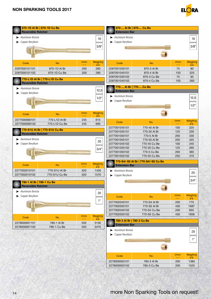



### 14 **14 more Non Sparking Tools on request!**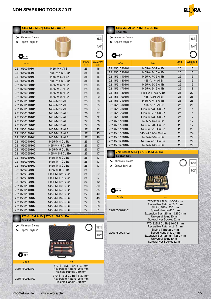

| Aluminium Bronze<br>> Aluminium Bronze<br>6,3<br>6,3<br>Copper Beryllium<br>Copper Beryllium<br>➤<br>1/4"<br>1/4"<br><b>DAF</b><br>$\bullet$ <sub>mm</sub><br>Weight/g<br>l/mm<br>Weight/g<br>l/mm<br>No.<br>Code<br>Code<br>No.<br>$\longmapsto$<br>దార<br>$\mapsto$<br>53<br>2214551080101<br>1455-A 5/32 Al Br<br>25<br>13<br>2214550040101<br>1455-M 4 Al Br<br>25<br>15<br>2214551090101<br>25<br>13<br>1455-A 3/16 Al Br<br>25<br>15<br>2214550045101<br>1455-M 4,5 Al Br<br>25<br>2214551110101<br>1455-A 7/32 Al Br<br>15<br>25<br>15<br>2214550050101<br>1455-M 5 Al Br<br>25<br>15<br>2214551130101<br>1455-A 1/4 Al Br<br>25<br>15<br>2214550055101<br>1455-M 5,5 Al Br<br>25<br>15<br>2214551150101<br>1455-A 9/32 Al Br<br>25<br>15<br>2214550060101<br>1455-M 6 Al Br<br>1455-A 5/16 Al Br<br>25<br>18<br>2214551170101<br>25<br>15<br>2214550070101<br>1455-M 7 Al Br<br>26<br>22<br>2214551180101<br>1455-A 11/32 Al Br<br>25<br>15<br>2214550080101<br>1455-M 8 Al Br<br>26<br>2214551190101<br>1455-A 3/8 Al Br<br>26<br>1455-M 9 Al Br<br>25<br>20<br>2214550090101<br>26<br>26<br>2214551210101<br>1455-A 7/16 Al Br<br>25<br>2214550100101<br>1455-M 10 Al Br<br>20<br>2214551230101<br>1455-A 1/2 Al Br<br>26<br>26<br>25<br>25<br>2214550110101<br>1455-M 11 Al Br<br>25<br>14<br>2214551080102<br>1455-A 5/32 Cu Be<br>26<br>27<br>2214550120101<br>1455-M 12 Al Br<br>25<br>14<br>2214551090102<br>1455-A 3/16 Cu Be<br>26<br>27<br>2214550130101<br>1455-M 13 Al Br<br>25<br>17<br>2214551110102<br>1455-A 7/32 Cu Be<br>26<br>32<br>2214550140101<br>1455-M 14 Al Br<br>25<br>17<br>2214551130102<br>1455-A 1/4 Cu Be<br>1455-M 15 Al Br<br>27<br>36<br>2214550150101<br>17<br>2214551150102<br>1455-A 9/32 Cu Be<br>25<br>27<br>1455-M 16 Al Br<br>36<br>2214550160101<br>25<br>20<br>2214551170102<br>1455-A 5/16 Cu Be<br>27<br>45<br>2214550170101<br>1455-M 17 Al Br<br>26<br>2214551180102<br>1455-A 11/32 Cu Be<br>24<br>27<br>45<br>2214550180101<br>1455-M 18 Al Br<br>2214551190102<br>1455-A 3/8 Cu Be<br>26<br>29<br>27<br>2214550190101<br>1455-M 19 Al Br<br>46<br>26<br>29<br>2214551210102<br>1455-A 7/16 Cu Be<br>17<br>2214550040102<br>1455-M 4 Cu Be<br>25<br>2214551230102<br>1455-A 1/2 Cu Be<br>26<br>29<br>25<br>17<br>2214550045102<br>1455-M 4,5 Cu Be<br>25<br>17<br>2214550050102<br>1455-M 5 Cu Be<br>770-S 28M AI Br   770-S 28M Cu Be<br>25<br>17<br>2214550055102<br>1455-M 5,5 Cu Be<br><b>Socket Set</b><br>25<br>17<br>2214550060102<br>1455-M 6 Cu Be<br>> Aluminium Bronze<br>25<br>17<br>2214550070102<br>1455-M 7 Cu Be<br>12,5<br>Copper Beryllium<br>25<br>17<br>2214550080102<br>1455-M 8 Cu Be<br>➤<br>25<br>21<br>2214550090102<br>1455-M 9 Cu Be<br>$1/2$ '<br>25<br>22<br>2214550100102<br>1455-M 10 Cu Be<br>2214550110102<br>25<br>27<br>1455-M 11 Cu Be<br>26<br>30<br>2214550120102<br>1455-M 12 Cu Be<br>2214550130102<br>1455-M 13 Cu Be<br>26<br>30<br>26<br>2214550140102<br>1455-M 14 Cu Be<br>35<br>$O$ mm<br>27<br>40<br>2214550150102<br>1455-M 15 Cu Be<br>Code<br>No.<br>27<br>2214550160102<br>1455-M 16 Cu Be<br>40<br>770-S28M Al Br   10-32 mm<br>27<br>50<br>2214550170102<br>1455-M 17 Cu Be<br>Reversible Ratchet 245 mm<br>2214550180102<br>1455-M 18 Cu Be<br>27<br>50<br>Sliding T-Bar 250 mm<br>2214550190102<br>27<br>51<br>1455-M 19 Cu Be<br>2207750028101<br>Speed Handle 400 mm<br>Extension Bar 125 mm   250 mm<br>770-S 13M AI Br   770-S 13M Cu Be<br>Universal Joint 80 mm<br>Screwdriver Socket 52 mm<br><b>Socket Set</b><br>770-S28M Cu Be   10-32 mm<br>Aluminium Bronze<br>Reversible Ratchet 245 mm<br>12,5<br>Sliding T-Bar 250 mm<br>Copper Beryllium<br>Speed Handle 400 mm<br>2207750028102<br>1/2"<br>Extension Bar 125 mm   250 mm<br>Universal Joint 80 mm<br>Screwdriver Socket 52 mm<br><b>90000C</b><br>mm<br>Code<br>No.<br>770-S 13M Al Br   8-27 mm<br>Reversible Ratchet 245 mm<br>2207750013101<br>Flexible Handle 250 mm<br>770-S 13M Cu Be   8-27 mm<br>2207750013102<br>Reversible Ratchet 245 mm<br>Flexible Handle 250 mm |                | 1455-M Al Br   1455-M Cu Be |  |         | 1455-A Al Br   1455-A Cu Be |  |
|----------------------------------------------------------------------------------------------------------------------------------------------------------------------------------------------------------------------------------------------------------------------------------------------------------------------------------------------------------------------------------------------------------------------------------------------------------------------------------------------------------------------------------------------------------------------------------------------------------------------------------------------------------------------------------------------------------------------------------------------------------------------------------------------------------------------------------------------------------------------------------------------------------------------------------------------------------------------------------------------------------------------------------------------------------------------------------------------------------------------------------------------------------------------------------------------------------------------------------------------------------------------------------------------------------------------------------------------------------------------------------------------------------------------------------------------------------------------------------------------------------------------------------------------------------------------------------------------------------------------------------------------------------------------------------------------------------------------------------------------------------------------------------------------------------------------------------------------------------------------------------------------------------------------------------------------------------------------------------------------------------------------------------------------------------------------------------------------------------------------------------------------------------------------------------------------------------------------------------------------------------------------------------------------------------------------------------------------------------------------------------------------------------------------------------------------------------------------------------------------------------------------------------------------------------------------------------------------------------------------------------------------------------------------------------------------------------------------------------------------------------------------------------------------------------------------------------------------------------------------------------------------------------------------------------------------------------------------------------------------------------------------------------------------------------------------------------------------------------------------------------------------------------------------------------------------------------------------------------------------------------------------------------------------------------------------------------------------------------------------------------------------------------------------------------------------------------------------------------------------------------------------------------------------------------------------------------------------------------------------------------------------------------------------------------------------------------------------------------------------------------------------------------------------------------------------------------------------------------------------------------------------------------------------------------------------------------------------------------------------------------------------------------------------------------------|----------------|-----------------------------|--|---------|-----------------------------|--|
|                                                                                                                                                                                                                                                                                                                                                                                                                                                                                                                                                                                                                                                                                                                                                                                                                                                                                                                                                                                                                                                                                                                                                                                                                                                                                                                                                                                                                                                                                                                                                                                                                                                                                                                                                                                                                                                                                                                                                                                                                                                                                                                                                                                                                                                                                                                                                                                                                                                                                                                                                                                                                                                                                                                                                                                                                                                                                                                                                                                                                                                                                                                                                                                                                                                                                                                                                                                                                                                                                                                                                                                                                                                                                                                                                                                                                                                                                                                                                                                                                                                                | <b>Sockets</b> |                             |  | Sockets |                             |  |
|                                                                                                                                                                                                                                                                                                                                                                                                                                                                                                                                                                                                                                                                                                                                                                                                                                                                                                                                                                                                                                                                                                                                                                                                                                                                                                                                                                                                                                                                                                                                                                                                                                                                                                                                                                                                                                                                                                                                                                                                                                                                                                                                                                                                                                                                                                                                                                                                                                                                                                                                                                                                                                                                                                                                                                                                                                                                                                                                                                                                                                                                                                                                                                                                                                                                                                                                                                                                                                                                                                                                                                                                                                                                                                                                                                                                                                                                                                                                                                                                                                                                |                |                             |  |         |                             |  |
|                                                                                                                                                                                                                                                                                                                                                                                                                                                                                                                                                                                                                                                                                                                                                                                                                                                                                                                                                                                                                                                                                                                                                                                                                                                                                                                                                                                                                                                                                                                                                                                                                                                                                                                                                                                                                                                                                                                                                                                                                                                                                                                                                                                                                                                                                                                                                                                                                                                                                                                                                                                                                                                                                                                                                                                                                                                                                                                                                                                                                                                                                                                                                                                                                                                                                                                                                                                                                                                                                                                                                                                                                                                                                                                                                                                                                                                                                                                                                                                                                                                                |                |                             |  |         |                             |  |
|                                                                                                                                                                                                                                                                                                                                                                                                                                                                                                                                                                                                                                                                                                                                                                                                                                                                                                                                                                                                                                                                                                                                                                                                                                                                                                                                                                                                                                                                                                                                                                                                                                                                                                                                                                                                                                                                                                                                                                                                                                                                                                                                                                                                                                                                                                                                                                                                                                                                                                                                                                                                                                                                                                                                                                                                                                                                                                                                                                                                                                                                                                                                                                                                                                                                                                                                                                                                                                                                                                                                                                                                                                                                                                                                                                                                                                                                                                                                                                                                                                                                |                |                             |  |         |                             |  |
|                                                                                                                                                                                                                                                                                                                                                                                                                                                                                                                                                                                                                                                                                                                                                                                                                                                                                                                                                                                                                                                                                                                                                                                                                                                                                                                                                                                                                                                                                                                                                                                                                                                                                                                                                                                                                                                                                                                                                                                                                                                                                                                                                                                                                                                                                                                                                                                                                                                                                                                                                                                                                                                                                                                                                                                                                                                                                                                                                                                                                                                                                                                                                                                                                                                                                                                                                                                                                                                                                                                                                                                                                                                                                                                                                                                                                                                                                                                                                                                                                                                                |                |                             |  |         |                             |  |
|                                                                                                                                                                                                                                                                                                                                                                                                                                                                                                                                                                                                                                                                                                                                                                                                                                                                                                                                                                                                                                                                                                                                                                                                                                                                                                                                                                                                                                                                                                                                                                                                                                                                                                                                                                                                                                                                                                                                                                                                                                                                                                                                                                                                                                                                                                                                                                                                                                                                                                                                                                                                                                                                                                                                                                                                                                                                                                                                                                                                                                                                                                                                                                                                                                                                                                                                                                                                                                                                                                                                                                                                                                                                                                                                                                                                                                                                                                                                                                                                                                                                |                |                             |  |         |                             |  |
|                                                                                                                                                                                                                                                                                                                                                                                                                                                                                                                                                                                                                                                                                                                                                                                                                                                                                                                                                                                                                                                                                                                                                                                                                                                                                                                                                                                                                                                                                                                                                                                                                                                                                                                                                                                                                                                                                                                                                                                                                                                                                                                                                                                                                                                                                                                                                                                                                                                                                                                                                                                                                                                                                                                                                                                                                                                                                                                                                                                                                                                                                                                                                                                                                                                                                                                                                                                                                                                                                                                                                                                                                                                                                                                                                                                                                                                                                                                                                                                                                                                                |                |                             |  |         |                             |  |
|                                                                                                                                                                                                                                                                                                                                                                                                                                                                                                                                                                                                                                                                                                                                                                                                                                                                                                                                                                                                                                                                                                                                                                                                                                                                                                                                                                                                                                                                                                                                                                                                                                                                                                                                                                                                                                                                                                                                                                                                                                                                                                                                                                                                                                                                                                                                                                                                                                                                                                                                                                                                                                                                                                                                                                                                                                                                                                                                                                                                                                                                                                                                                                                                                                                                                                                                                                                                                                                                                                                                                                                                                                                                                                                                                                                                                                                                                                                                                                                                                                                                |                |                             |  |         |                             |  |
|                                                                                                                                                                                                                                                                                                                                                                                                                                                                                                                                                                                                                                                                                                                                                                                                                                                                                                                                                                                                                                                                                                                                                                                                                                                                                                                                                                                                                                                                                                                                                                                                                                                                                                                                                                                                                                                                                                                                                                                                                                                                                                                                                                                                                                                                                                                                                                                                                                                                                                                                                                                                                                                                                                                                                                                                                                                                                                                                                                                                                                                                                                                                                                                                                                                                                                                                                                                                                                                                                                                                                                                                                                                                                                                                                                                                                                                                                                                                                                                                                                                                |                |                             |  |         |                             |  |
|                                                                                                                                                                                                                                                                                                                                                                                                                                                                                                                                                                                                                                                                                                                                                                                                                                                                                                                                                                                                                                                                                                                                                                                                                                                                                                                                                                                                                                                                                                                                                                                                                                                                                                                                                                                                                                                                                                                                                                                                                                                                                                                                                                                                                                                                                                                                                                                                                                                                                                                                                                                                                                                                                                                                                                                                                                                                                                                                                                                                                                                                                                                                                                                                                                                                                                                                                                                                                                                                                                                                                                                                                                                                                                                                                                                                                                                                                                                                                                                                                                                                |                |                             |  |         |                             |  |
|                                                                                                                                                                                                                                                                                                                                                                                                                                                                                                                                                                                                                                                                                                                                                                                                                                                                                                                                                                                                                                                                                                                                                                                                                                                                                                                                                                                                                                                                                                                                                                                                                                                                                                                                                                                                                                                                                                                                                                                                                                                                                                                                                                                                                                                                                                                                                                                                                                                                                                                                                                                                                                                                                                                                                                                                                                                                                                                                                                                                                                                                                                                                                                                                                                                                                                                                                                                                                                                                                                                                                                                                                                                                                                                                                                                                                                                                                                                                                                                                                                                                |                |                             |  |         |                             |  |
|                                                                                                                                                                                                                                                                                                                                                                                                                                                                                                                                                                                                                                                                                                                                                                                                                                                                                                                                                                                                                                                                                                                                                                                                                                                                                                                                                                                                                                                                                                                                                                                                                                                                                                                                                                                                                                                                                                                                                                                                                                                                                                                                                                                                                                                                                                                                                                                                                                                                                                                                                                                                                                                                                                                                                                                                                                                                                                                                                                                                                                                                                                                                                                                                                                                                                                                                                                                                                                                                                                                                                                                                                                                                                                                                                                                                                                                                                                                                                                                                                                                                |                |                             |  |         |                             |  |
|                                                                                                                                                                                                                                                                                                                                                                                                                                                                                                                                                                                                                                                                                                                                                                                                                                                                                                                                                                                                                                                                                                                                                                                                                                                                                                                                                                                                                                                                                                                                                                                                                                                                                                                                                                                                                                                                                                                                                                                                                                                                                                                                                                                                                                                                                                                                                                                                                                                                                                                                                                                                                                                                                                                                                                                                                                                                                                                                                                                                                                                                                                                                                                                                                                                                                                                                                                                                                                                                                                                                                                                                                                                                                                                                                                                                                                                                                                                                                                                                                                                                |                |                             |  |         |                             |  |
|                                                                                                                                                                                                                                                                                                                                                                                                                                                                                                                                                                                                                                                                                                                                                                                                                                                                                                                                                                                                                                                                                                                                                                                                                                                                                                                                                                                                                                                                                                                                                                                                                                                                                                                                                                                                                                                                                                                                                                                                                                                                                                                                                                                                                                                                                                                                                                                                                                                                                                                                                                                                                                                                                                                                                                                                                                                                                                                                                                                                                                                                                                                                                                                                                                                                                                                                                                                                                                                                                                                                                                                                                                                                                                                                                                                                                                                                                                                                                                                                                                                                |                |                             |  |         |                             |  |
|                                                                                                                                                                                                                                                                                                                                                                                                                                                                                                                                                                                                                                                                                                                                                                                                                                                                                                                                                                                                                                                                                                                                                                                                                                                                                                                                                                                                                                                                                                                                                                                                                                                                                                                                                                                                                                                                                                                                                                                                                                                                                                                                                                                                                                                                                                                                                                                                                                                                                                                                                                                                                                                                                                                                                                                                                                                                                                                                                                                                                                                                                                                                                                                                                                                                                                                                                                                                                                                                                                                                                                                                                                                                                                                                                                                                                                                                                                                                                                                                                                                                |                |                             |  |         |                             |  |
|                                                                                                                                                                                                                                                                                                                                                                                                                                                                                                                                                                                                                                                                                                                                                                                                                                                                                                                                                                                                                                                                                                                                                                                                                                                                                                                                                                                                                                                                                                                                                                                                                                                                                                                                                                                                                                                                                                                                                                                                                                                                                                                                                                                                                                                                                                                                                                                                                                                                                                                                                                                                                                                                                                                                                                                                                                                                                                                                                                                                                                                                                                                                                                                                                                                                                                                                                                                                                                                                                                                                                                                                                                                                                                                                                                                                                                                                                                                                                                                                                                                                |                |                             |  |         |                             |  |
|                                                                                                                                                                                                                                                                                                                                                                                                                                                                                                                                                                                                                                                                                                                                                                                                                                                                                                                                                                                                                                                                                                                                                                                                                                                                                                                                                                                                                                                                                                                                                                                                                                                                                                                                                                                                                                                                                                                                                                                                                                                                                                                                                                                                                                                                                                                                                                                                                                                                                                                                                                                                                                                                                                                                                                                                                                                                                                                                                                                                                                                                                                                                                                                                                                                                                                                                                                                                                                                                                                                                                                                                                                                                                                                                                                                                                                                                                                                                                                                                                                                                |                |                             |  |         |                             |  |
|                                                                                                                                                                                                                                                                                                                                                                                                                                                                                                                                                                                                                                                                                                                                                                                                                                                                                                                                                                                                                                                                                                                                                                                                                                                                                                                                                                                                                                                                                                                                                                                                                                                                                                                                                                                                                                                                                                                                                                                                                                                                                                                                                                                                                                                                                                                                                                                                                                                                                                                                                                                                                                                                                                                                                                                                                                                                                                                                                                                                                                                                                                                                                                                                                                                                                                                                                                                                                                                                                                                                                                                                                                                                                                                                                                                                                                                                                                                                                                                                                                                                |                |                             |  |         |                             |  |
|                                                                                                                                                                                                                                                                                                                                                                                                                                                                                                                                                                                                                                                                                                                                                                                                                                                                                                                                                                                                                                                                                                                                                                                                                                                                                                                                                                                                                                                                                                                                                                                                                                                                                                                                                                                                                                                                                                                                                                                                                                                                                                                                                                                                                                                                                                                                                                                                                                                                                                                                                                                                                                                                                                                                                                                                                                                                                                                                                                                                                                                                                                                                                                                                                                                                                                                                                                                                                                                                                                                                                                                                                                                                                                                                                                                                                                                                                                                                                                                                                                                                |                |                             |  |         |                             |  |
|                                                                                                                                                                                                                                                                                                                                                                                                                                                                                                                                                                                                                                                                                                                                                                                                                                                                                                                                                                                                                                                                                                                                                                                                                                                                                                                                                                                                                                                                                                                                                                                                                                                                                                                                                                                                                                                                                                                                                                                                                                                                                                                                                                                                                                                                                                                                                                                                                                                                                                                                                                                                                                                                                                                                                                                                                                                                                                                                                                                                                                                                                                                                                                                                                                                                                                                                                                                                                                                                                                                                                                                                                                                                                                                                                                                                                                                                                                                                                                                                                                                                |                |                             |  |         |                             |  |
|                                                                                                                                                                                                                                                                                                                                                                                                                                                                                                                                                                                                                                                                                                                                                                                                                                                                                                                                                                                                                                                                                                                                                                                                                                                                                                                                                                                                                                                                                                                                                                                                                                                                                                                                                                                                                                                                                                                                                                                                                                                                                                                                                                                                                                                                                                                                                                                                                                                                                                                                                                                                                                                                                                                                                                                                                                                                                                                                                                                                                                                                                                                                                                                                                                                                                                                                                                                                                                                                                                                                                                                                                                                                                                                                                                                                                                                                                                                                                                                                                                                                |                |                             |  |         |                             |  |
|                                                                                                                                                                                                                                                                                                                                                                                                                                                                                                                                                                                                                                                                                                                                                                                                                                                                                                                                                                                                                                                                                                                                                                                                                                                                                                                                                                                                                                                                                                                                                                                                                                                                                                                                                                                                                                                                                                                                                                                                                                                                                                                                                                                                                                                                                                                                                                                                                                                                                                                                                                                                                                                                                                                                                                                                                                                                                                                                                                                                                                                                                                                                                                                                                                                                                                                                                                                                                                                                                                                                                                                                                                                                                                                                                                                                                                                                                                                                                                                                                                                                |                |                             |  |         |                             |  |
|                                                                                                                                                                                                                                                                                                                                                                                                                                                                                                                                                                                                                                                                                                                                                                                                                                                                                                                                                                                                                                                                                                                                                                                                                                                                                                                                                                                                                                                                                                                                                                                                                                                                                                                                                                                                                                                                                                                                                                                                                                                                                                                                                                                                                                                                                                                                                                                                                                                                                                                                                                                                                                                                                                                                                                                                                                                                                                                                                                                                                                                                                                                                                                                                                                                                                                                                                                                                                                                                                                                                                                                                                                                                                                                                                                                                                                                                                                                                                                                                                                                                |                |                             |  |         |                             |  |
|                                                                                                                                                                                                                                                                                                                                                                                                                                                                                                                                                                                                                                                                                                                                                                                                                                                                                                                                                                                                                                                                                                                                                                                                                                                                                                                                                                                                                                                                                                                                                                                                                                                                                                                                                                                                                                                                                                                                                                                                                                                                                                                                                                                                                                                                                                                                                                                                                                                                                                                                                                                                                                                                                                                                                                                                                                                                                                                                                                                                                                                                                                                                                                                                                                                                                                                                                                                                                                                                                                                                                                                                                                                                                                                                                                                                                                                                                                                                                                                                                                                                |                |                             |  |         |                             |  |
|                                                                                                                                                                                                                                                                                                                                                                                                                                                                                                                                                                                                                                                                                                                                                                                                                                                                                                                                                                                                                                                                                                                                                                                                                                                                                                                                                                                                                                                                                                                                                                                                                                                                                                                                                                                                                                                                                                                                                                                                                                                                                                                                                                                                                                                                                                                                                                                                                                                                                                                                                                                                                                                                                                                                                                                                                                                                                                                                                                                                                                                                                                                                                                                                                                                                                                                                                                                                                                                                                                                                                                                                                                                                                                                                                                                                                                                                                                                                                                                                                                                                |                |                             |  |         |                             |  |
|                                                                                                                                                                                                                                                                                                                                                                                                                                                                                                                                                                                                                                                                                                                                                                                                                                                                                                                                                                                                                                                                                                                                                                                                                                                                                                                                                                                                                                                                                                                                                                                                                                                                                                                                                                                                                                                                                                                                                                                                                                                                                                                                                                                                                                                                                                                                                                                                                                                                                                                                                                                                                                                                                                                                                                                                                                                                                                                                                                                                                                                                                                                                                                                                                                                                                                                                                                                                                                                                                                                                                                                                                                                                                                                                                                                                                                                                                                                                                                                                                                                                |                |                             |  |         |                             |  |
|                                                                                                                                                                                                                                                                                                                                                                                                                                                                                                                                                                                                                                                                                                                                                                                                                                                                                                                                                                                                                                                                                                                                                                                                                                                                                                                                                                                                                                                                                                                                                                                                                                                                                                                                                                                                                                                                                                                                                                                                                                                                                                                                                                                                                                                                                                                                                                                                                                                                                                                                                                                                                                                                                                                                                                                                                                                                                                                                                                                                                                                                                                                                                                                                                                                                                                                                                                                                                                                                                                                                                                                                                                                                                                                                                                                                                                                                                                                                                                                                                                                                |                |                             |  |         |                             |  |
|                                                                                                                                                                                                                                                                                                                                                                                                                                                                                                                                                                                                                                                                                                                                                                                                                                                                                                                                                                                                                                                                                                                                                                                                                                                                                                                                                                                                                                                                                                                                                                                                                                                                                                                                                                                                                                                                                                                                                                                                                                                                                                                                                                                                                                                                                                                                                                                                                                                                                                                                                                                                                                                                                                                                                                                                                                                                                                                                                                                                                                                                                                                                                                                                                                                                                                                                                                                                                                                                                                                                                                                                                                                                                                                                                                                                                                                                                                                                                                                                                                                                |                |                             |  |         |                             |  |
|                                                                                                                                                                                                                                                                                                                                                                                                                                                                                                                                                                                                                                                                                                                                                                                                                                                                                                                                                                                                                                                                                                                                                                                                                                                                                                                                                                                                                                                                                                                                                                                                                                                                                                                                                                                                                                                                                                                                                                                                                                                                                                                                                                                                                                                                                                                                                                                                                                                                                                                                                                                                                                                                                                                                                                                                                                                                                                                                                                                                                                                                                                                                                                                                                                                                                                                                                                                                                                                                                                                                                                                                                                                                                                                                                                                                                                                                                                                                                                                                                                                                |                |                             |  |         |                             |  |
|                                                                                                                                                                                                                                                                                                                                                                                                                                                                                                                                                                                                                                                                                                                                                                                                                                                                                                                                                                                                                                                                                                                                                                                                                                                                                                                                                                                                                                                                                                                                                                                                                                                                                                                                                                                                                                                                                                                                                                                                                                                                                                                                                                                                                                                                                                                                                                                                                                                                                                                                                                                                                                                                                                                                                                                                                                                                                                                                                                                                                                                                                                                                                                                                                                                                                                                                                                                                                                                                                                                                                                                                                                                                                                                                                                                                                                                                                                                                                                                                                                                                |                |                             |  |         |                             |  |
|                                                                                                                                                                                                                                                                                                                                                                                                                                                                                                                                                                                                                                                                                                                                                                                                                                                                                                                                                                                                                                                                                                                                                                                                                                                                                                                                                                                                                                                                                                                                                                                                                                                                                                                                                                                                                                                                                                                                                                                                                                                                                                                                                                                                                                                                                                                                                                                                                                                                                                                                                                                                                                                                                                                                                                                                                                                                                                                                                                                                                                                                                                                                                                                                                                                                                                                                                                                                                                                                                                                                                                                                                                                                                                                                                                                                                                                                                                                                                                                                                                                                |                |                             |  |         |                             |  |
|                                                                                                                                                                                                                                                                                                                                                                                                                                                                                                                                                                                                                                                                                                                                                                                                                                                                                                                                                                                                                                                                                                                                                                                                                                                                                                                                                                                                                                                                                                                                                                                                                                                                                                                                                                                                                                                                                                                                                                                                                                                                                                                                                                                                                                                                                                                                                                                                                                                                                                                                                                                                                                                                                                                                                                                                                                                                                                                                                                                                                                                                                                                                                                                                                                                                                                                                                                                                                                                                                                                                                                                                                                                                                                                                                                                                                                                                                                                                                                                                                                                                |                |                             |  |         |                             |  |
|                                                                                                                                                                                                                                                                                                                                                                                                                                                                                                                                                                                                                                                                                                                                                                                                                                                                                                                                                                                                                                                                                                                                                                                                                                                                                                                                                                                                                                                                                                                                                                                                                                                                                                                                                                                                                                                                                                                                                                                                                                                                                                                                                                                                                                                                                                                                                                                                                                                                                                                                                                                                                                                                                                                                                                                                                                                                                                                                                                                                                                                                                                                                                                                                                                                                                                                                                                                                                                                                                                                                                                                                                                                                                                                                                                                                                                                                                                                                                                                                                                                                |                |                             |  |         |                             |  |
|                                                                                                                                                                                                                                                                                                                                                                                                                                                                                                                                                                                                                                                                                                                                                                                                                                                                                                                                                                                                                                                                                                                                                                                                                                                                                                                                                                                                                                                                                                                                                                                                                                                                                                                                                                                                                                                                                                                                                                                                                                                                                                                                                                                                                                                                                                                                                                                                                                                                                                                                                                                                                                                                                                                                                                                                                                                                                                                                                                                                                                                                                                                                                                                                                                                                                                                                                                                                                                                                                                                                                                                                                                                                                                                                                                                                                                                                                                                                                                                                                                                                |                |                             |  |         |                             |  |
|                                                                                                                                                                                                                                                                                                                                                                                                                                                                                                                                                                                                                                                                                                                                                                                                                                                                                                                                                                                                                                                                                                                                                                                                                                                                                                                                                                                                                                                                                                                                                                                                                                                                                                                                                                                                                                                                                                                                                                                                                                                                                                                                                                                                                                                                                                                                                                                                                                                                                                                                                                                                                                                                                                                                                                                                                                                                                                                                                                                                                                                                                                                                                                                                                                                                                                                                                                                                                                                                                                                                                                                                                                                                                                                                                                                                                                                                                                                                                                                                                                                                |                |                             |  |         |                             |  |
|                                                                                                                                                                                                                                                                                                                                                                                                                                                                                                                                                                                                                                                                                                                                                                                                                                                                                                                                                                                                                                                                                                                                                                                                                                                                                                                                                                                                                                                                                                                                                                                                                                                                                                                                                                                                                                                                                                                                                                                                                                                                                                                                                                                                                                                                                                                                                                                                                                                                                                                                                                                                                                                                                                                                                                                                                                                                                                                                                                                                                                                                                                                                                                                                                                                                                                                                                                                                                                                                                                                                                                                                                                                                                                                                                                                                                                                                                                                                                                                                                                                                |                |                             |  |         |                             |  |
|                                                                                                                                                                                                                                                                                                                                                                                                                                                                                                                                                                                                                                                                                                                                                                                                                                                                                                                                                                                                                                                                                                                                                                                                                                                                                                                                                                                                                                                                                                                                                                                                                                                                                                                                                                                                                                                                                                                                                                                                                                                                                                                                                                                                                                                                                                                                                                                                                                                                                                                                                                                                                                                                                                                                                                                                                                                                                                                                                                                                                                                                                                                                                                                                                                                                                                                                                                                                                                                                                                                                                                                                                                                                                                                                                                                                                                                                                                                                                                                                                                                                |                |                             |  |         |                             |  |
|                                                                                                                                                                                                                                                                                                                                                                                                                                                                                                                                                                                                                                                                                                                                                                                                                                                                                                                                                                                                                                                                                                                                                                                                                                                                                                                                                                                                                                                                                                                                                                                                                                                                                                                                                                                                                                                                                                                                                                                                                                                                                                                                                                                                                                                                                                                                                                                                                                                                                                                                                                                                                                                                                                                                                                                                                                                                                                                                                                                                                                                                                                                                                                                                                                                                                                                                                                                                                                                                                                                                                                                                                                                                                                                                                                                                                                                                                                                                                                                                                                                                |                |                             |  |         |                             |  |
|                                                                                                                                                                                                                                                                                                                                                                                                                                                                                                                                                                                                                                                                                                                                                                                                                                                                                                                                                                                                                                                                                                                                                                                                                                                                                                                                                                                                                                                                                                                                                                                                                                                                                                                                                                                                                                                                                                                                                                                                                                                                                                                                                                                                                                                                                                                                                                                                                                                                                                                                                                                                                                                                                                                                                                                                                                                                                                                                                                                                                                                                                                                                                                                                                                                                                                                                                                                                                                                                                                                                                                                                                                                                                                                                                                                                                                                                                                                                                                                                                                                                |                |                             |  |         |                             |  |
|                                                                                                                                                                                                                                                                                                                                                                                                                                                                                                                                                                                                                                                                                                                                                                                                                                                                                                                                                                                                                                                                                                                                                                                                                                                                                                                                                                                                                                                                                                                                                                                                                                                                                                                                                                                                                                                                                                                                                                                                                                                                                                                                                                                                                                                                                                                                                                                                                                                                                                                                                                                                                                                                                                                                                                                                                                                                                                                                                                                                                                                                                                                                                                                                                                                                                                                                                                                                                                                                                                                                                                                                                                                                                                                                                                                                                                                                                                                                                                                                                                                                |                |                             |  |         |                             |  |
|                                                                                                                                                                                                                                                                                                                                                                                                                                                                                                                                                                                                                                                                                                                                                                                                                                                                                                                                                                                                                                                                                                                                                                                                                                                                                                                                                                                                                                                                                                                                                                                                                                                                                                                                                                                                                                                                                                                                                                                                                                                                                                                                                                                                                                                                                                                                                                                                                                                                                                                                                                                                                                                                                                                                                                                                                                                                                                                                                                                                                                                                                                                                                                                                                                                                                                                                                                                                                                                                                                                                                                                                                                                                                                                                                                                                                                                                                                                                                                                                                                                                |                |                             |  |         |                             |  |
|                                                                                                                                                                                                                                                                                                                                                                                                                                                                                                                                                                                                                                                                                                                                                                                                                                                                                                                                                                                                                                                                                                                                                                                                                                                                                                                                                                                                                                                                                                                                                                                                                                                                                                                                                                                                                                                                                                                                                                                                                                                                                                                                                                                                                                                                                                                                                                                                                                                                                                                                                                                                                                                                                                                                                                                                                                                                                                                                                                                                                                                                                                                                                                                                                                                                                                                                                                                                                                                                                                                                                                                                                                                                                                                                                                                                                                                                                                                                                                                                                                                                |                |                             |  |         |                             |  |
|                                                                                                                                                                                                                                                                                                                                                                                                                                                                                                                                                                                                                                                                                                                                                                                                                                                                                                                                                                                                                                                                                                                                                                                                                                                                                                                                                                                                                                                                                                                                                                                                                                                                                                                                                                                                                                                                                                                                                                                                                                                                                                                                                                                                                                                                                                                                                                                                                                                                                                                                                                                                                                                                                                                                                                                                                                                                                                                                                                                                                                                                                                                                                                                                                                                                                                                                                                                                                                                                                                                                                                                                                                                                                                                                                                                                                                                                                                                                                                                                                                                                |                |                             |  |         |                             |  |
|                                                                                                                                                                                                                                                                                                                                                                                                                                                                                                                                                                                                                                                                                                                                                                                                                                                                                                                                                                                                                                                                                                                                                                                                                                                                                                                                                                                                                                                                                                                                                                                                                                                                                                                                                                                                                                                                                                                                                                                                                                                                                                                                                                                                                                                                                                                                                                                                                                                                                                                                                                                                                                                                                                                                                                                                                                                                                                                                                                                                                                                                                                                                                                                                                                                                                                                                                                                                                                                                                                                                                                                                                                                                                                                                                                                                                                                                                                                                                                                                                                                                |                |                             |  |         |                             |  |
|                                                                                                                                                                                                                                                                                                                                                                                                                                                                                                                                                                                                                                                                                                                                                                                                                                                                                                                                                                                                                                                                                                                                                                                                                                                                                                                                                                                                                                                                                                                                                                                                                                                                                                                                                                                                                                                                                                                                                                                                                                                                                                                                                                                                                                                                                                                                                                                                                                                                                                                                                                                                                                                                                                                                                                                                                                                                                                                                                                                                                                                                                                                                                                                                                                                                                                                                                                                                                                                                                                                                                                                                                                                                                                                                                                                                                                                                                                                                                                                                                                                                |                |                             |  |         |                             |  |
|                                                                                                                                                                                                                                                                                                                                                                                                                                                                                                                                                                                                                                                                                                                                                                                                                                                                                                                                                                                                                                                                                                                                                                                                                                                                                                                                                                                                                                                                                                                                                                                                                                                                                                                                                                                                                                                                                                                                                                                                                                                                                                                                                                                                                                                                                                                                                                                                                                                                                                                                                                                                                                                                                                                                                                                                                                                                                                                                                                                                                                                                                                                                                                                                                                                                                                                                                                                                                                                                                                                                                                                                                                                                                                                                                                                                                                                                                                                                                                                                                                                                |                |                             |  |         |                             |  |
|                                                                                                                                                                                                                                                                                                                                                                                                                                                                                                                                                                                                                                                                                                                                                                                                                                                                                                                                                                                                                                                                                                                                                                                                                                                                                                                                                                                                                                                                                                                                                                                                                                                                                                                                                                                                                                                                                                                                                                                                                                                                                                                                                                                                                                                                                                                                                                                                                                                                                                                                                                                                                                                                                                                                                                                                                                                                                                                                                                                                                                                                                                                                                                                                                                                                                                                                                                                                                                                                                                                                                                                                                                                                                                                                                                                                                                                                                                                                                                                                                                                                |                |                             |  |         |                             |  |
|                                                                                                                                                                                                                                                                                                                                                                                                                                                                                                                                                                                                                                                                                                                                                                                                                                                                                                                                                                                                                                                                                                                                                                                                                                                                                                                                                                                                                                                                                                                                                                                                                                                                                                                                                                                                                                                                                                                                                                                                                                                                                                                                                                                                                                                                                                                                                                                                                                                                                                                                                                                                                                                                                                                                                                                                                                                                                                                                                                                                                                                                                                                                                                                                                                                                                                                                                                                                                                                                                                                                                                                                                                                                                                                                                                                                                                                                                                                                                                                                                                                                |                |                             |  |         |                             |  |
|                                                                                                                                                                                                                                                                                                                                                                                                                                                                                                                                                                                                                                                                                                                                                                                                                                                                                                                                                                                                                                                                                                                                                                                                                                                                                                                                                                                                                                                                                                                                                                                                                                                                                                                                                                                                                                                                                                                                                                                                                                                                                                                                                                                                                                                                                                                                                                                                                                                                                                                                                                                                                                                                                                                                                                                                                                                                                                                                                                                                                                                                                                                                                                                                                                                                                                                                                                                                                                                                                                                                                                                                                                                                                                                                                                                                                                                                                                                                                                                                                                                                |                |                             |  |         |                             |  |
|                                                                                                                                                                                                                                                                                                                                                                                                                                                                                                                                                                                                                                                                                                                                                                                                                                                                                                                                                                                                                                                                                                                                                                                                                                                                                                                                                                                                                                                                                                                                                                                                                                                                                                                                                                                                                                                                                                                                                                                                                                                                                                                                                                                                                                                                                                                                                                                                                                                                                                                                                                                                                                                                                                                                                                                                                                                                                                                                                                                                                                                                                                                                                                                                                                                                                                                                                                                                                                                                                                                                                                                                                                                                                                                                                                                                                                                                                                                                                                                                                                                                |                |                             |  |         |                             |  |
|                                                                                                                                                                                                                                                                                                                                                                                                                                                                                                                                                                                                                                                                                                                                                                                                                                                                                                                                                                                                                                                                                                                                                                                                                                                                                                                                                                                                                                                                                                                                                                                                                                                                                                                                                                                                                                                                                                                                                                                                                                                                                                                                                                                                                                                                                                                                                                                                                                                                                                                                                                                                                                                                                                                                                                                                                                                                                                                                                                                                                                                                                                                                                                                                                                                                                                                                                                                                                                                                                                                                                                                                                                                                                                                                                                                                                                                                                                                                                                                                                                                                |                |                             |  |         |                             |  |
|                                                                                                                                                                                                                                                                                                                                                                                                                                                                                                                                                                                                                                                                                                                                                                                                                                                                                                                                                                                                                                                                                                                                                                                                                                                                                                                                                                                                                                                                                                                                                                                                                                                                                                                                                                                                                                                                                                                                                                                                                                                                                                                                                                                                                                                                                                                                                                                                                                                                                                                                                                                                                                                                                                                                                                                                                                                                                                                                                                                                                                                                                                                                                                                                                                                                                                                                                                                                                                                                                                                                                                                                                                                                                                                                                                                                                                                                                                                                                                                                                                                                |                |                             |  |         |                             |  |
|                                                                                                                                                                                                                                                                                                                                                                                                                                                                                                                                                                                                                                                                                                                                                                                                                                                                                                                                                                                                                                                                                                                                                                                                                                                                                                                                                                                                                                                                                                                                                                                                                                                                                                                                                                                                                                                                                                                                                                                                                                                                                                                                                                                                                                                                                                                                                                                                                                                                                                                                                                                                                                                                                                                                                                                                                                                                                                                                                                                                                                                                                                                                                                                                                                                                                                                                                                                                                                                                                                                                                                                                                                                                                                                                                                                                                                                                                                                                                                                                                                                                |                |                             |  |         |                             |  |
|                                                                                                                                                                                                                                                                                                                                                                                                                                                                                                                                                                                                                                                                                                                                                                                                                                                                                                                                                                                                                                                                                                                                                                                                                                                                                                                                                                                                                                                                                                                                                                                                                                                                                                                                                                                                                                                                                                                                                                                                                                                                                                                                                                                                                                                                                                                                                                                                                                                                                                                                                                                                                                                                                                                                                                                                                                                                                                                                                                                                                                                                                                                                                                                                                                                                                                                                                                                                                                                                                                                                                                                                                                                                                                                                                                                                                                                                                                                                                                                                                                                                |                |                             |  |         |                             |  |
|                                                                                                                                                                                                                                                                                                                                                                                                                                                                                                                                                                                                                                                                                                                                                                                                                                                                                                                                                                                                                                                                                                                                                                                                                                                                                                                                                                                                                                                                                                                                                                                                                                                                                                                                                                                                                                                                                                                                                                                                                                                                                                                                                                                                                                                                                                                                                                                                                                                                                                                                                                                                                                                                                                                                                                                                                                                                                                                                                                                                                                                                                                                                                                                                                                                                                                                                                                                                                                                                                                                                                                                                                                                                                                                                                                                                                                                                                                                                                                                                                                                                |                |                             |  |         |                             |  |
|                                                                                                                                                                                                                                                                                                                                                                                                                                                                                                                                                                                                                                                                                                                                                                                                                                                                                                                                                                                                                                                                                                                                                                                                                                                                                                                                                                                                                                                                                                                                                                                                                                                                                                                                                                                                                                                                                                                                                                                                                                                                                                                                                                                                                                                                                                                                                                                                                                                                                                                                                                                                                                                                                                                                                                                                                                                                                                                                                                                                                                                                                                                                                                                                                                                                                                                                                                                                                                                                                                                                                                                                                                                                                                                                                                                                                                                                                                                                                                                                                                                                |                |                             |  |         |                             |  |
|                                                                                                                                                                                                                                                                                                                                                                                                                                                                                                                                                                                                                                                                                                                                                                                                                                                                                                                                                                                                                                                                                                                                                                                                                                                                                                                                                                                                                                                                                                                                                                                                                                                                                                                                                                                                                                                                                                                                                                                                                                                                                                                                                                                                                                                                                                                                                                                                                                                                                                                                                                                                                                                                                                                                                                                                                                                                                                                                                                                                                                                                                                                                                                                                                                                                                                                                                                                                                                                                                                                                                                                                                                                                                                                                                                                                                                                                                                                                                                                                                                                                |                |                             |  |         |                             |  |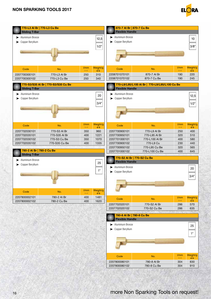



### 16 **16** more Non Sparking Tools on request!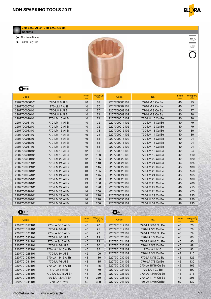**770-LM... Al Br | 770-LM... Cu Be**

**Sockets** > Aluminium Bronze

Copper Beryllium



 $12,5$ 

 $1/2$ <sup>\*</sup>  $\overline{\phantom{a}}$ 



| ım<br>TΓ<br>× |
|---------------|
|               |

| Code          | No.             | l/mm<br>$\mapsto$ | Weight/g<br>రప | Code          | No.             | l/mm<br>$\mapsto$ | Weight/c<br>55 |
|---------------|-----------------|-------------------|----------------|---------------|-----------------|-------------------|----------------|
| 2207700006101 | 770-LM 6 Al Br  | 40                | 69             | 2207700006102 | 770-LM 6 Cu Be  | 40                | 75             |
| 2207700007101 | 770-LM 7 AI B   | 40                | 70             | 2207700007102 | 770-LM 7 Cu Be  | 40                | 77             |
| 2207700008101 | 770-LM 8 Al Br  | 40                | 70             | 2207700008102 | 770-LM 8 Cu Be  | 40                | 77             |
| 2207700009101 | 770-LM 9 Al Br  | 40                | 71             | 2207700009102 | 770-LM 9 Cu Be  | 40                | 78             |
| 2207700010101 | 770-LM 10 Al Br | 40                | 71             | 2207700010102 | 770-LM 10 Cu Be | 40                | 78             |
| 2207700011101 | 770-LM 11 Al Br | 40                | 72             | 2207700011102 | 770-LM 11 Cu Be | 40                | 79             |
| 2207700012101 | 770-LM 12 Al Br | 40                | 72             | 2207700012102 | 770-LM 12 Cu Be | 40                | 79             |
| 2207700013101 | 770-LM 13 Al Br | 40                | 73             | 2207700013102 | 770-LM 13 Cu Be | 40                | 80             |
| 2207700014101 | 770-LM 14 Al Br | 40                | 73             | 2207700014102 | 770-LM 14 Cu Be | 40                | 80             |
| 2207700015101 | 770-LM 15 Al Br | 40                | 85             | 2207700015102 | 770-LM 15 Cu Be | 40                | 94             |
| 2207700016101 | 770-LM 16 Al Br | 40                | 85             | 2207700016102 | 770-LM 16 Cu Be | 40                | 94             |
| 2207700017101 | 770-LM 17 Al Br | 40                | 85             | 2207700017102 | 770-LM 17 Cu Be | 40                | 94             |
| 2207700018101 | 770-LM 18 Al Br | 42                | 85             | 2207700018102 | 770-LM 18 Cu Be | 42                | 94             |
| 2207700019101 | 770-LM 19 Al Br | 42                | 100            | 2207700019102 | 770-LM 19 Cu Be | 42                | 110            |
| 2207700020101 | 770-LM 20 AI Br | 42                | 105            | 2207700020102 | 770-LM 20 Cu Be | 42                | 120            |
| 2207700021101 | 770-LM 21 Al Br | 43                | 110            | 2207700021102 | 770-LM 21 Cu Be | 43                | 125            |
| 2207700022101 | 770-LM 22 AI Br | 43                | 115            | 2207700022102 | 770-LM 22 Cu Be | 43                | 130            |
| 2207700023101 | 770-LM 23 AI Br | 43                | 135            | 2207700023102 | 770-LM 23 Cu Be | 43                | 150            |
| 2207700024101 | 770-LM 24 AI Br | 43                | 145            | 2207700024102 | 770-LM 24 Cu Be | 43                | 165            |
| 2207700025101 | 770-LM 25 AI Br | 43                | 160            | 2207700025102 | 770-LM 25 Cu Be | 43                | 180            |
| 2207700026101 | 770-LM 26 Al Br | 43                | 180            | 2207700026102 | 770-LM 26 Cu Be | 43                | 200            |
| 2207700027101 | 770-LM 27 Al Br | 46                | 190            | 2207700027102 | 770-LM 27 Cu Be | 46                | 215            |
| 2207700028101 | 770-LM 28 AI Br | 46                | 200            | 2207700028102 | 770-LM 28 Cu Be | 46                | 225            |
| 2207700029101 | 770-LM 29 Al Br | 46                | 210            | 2207700029102 | 770-LM 29 Cu Be | 46                | 235            |
| 2207700030101 | 770-LM 30 Al Br | 46                | 220            | 2207700030102 | 770-LM 30 Cu Be | 46                | 250            |
| 2207700032101 | 770-LM 32 AI Br | 46                | 260            | 2207700032102 | 770-LM 32 Cu Be | 46                | 295            |





| Code          | No.                 | l/mm<br>$\mapsto$ | Weight/g<br>54 | Code          | No.                 | l/mm<br>$\mapsto$ | Weight/g<br>∠∆ |
|---------------|---------------------|-------------------|----------------|---------------|---------------------|-------------------|----------------|
| 2207701017101 | 770-LA 5/16 AI Br   | 40                | 70             | 2207701017102 | 770-LA 5/16 Cu Be   | 40                | 70             |
| 2207701019101 | 770-LA 3/8 AI Br    | 40                | 71             | 2207701019102 | 770-LA 3/8 Cu Be    | 40                | 78             |
| 2207701021101 | 770-LA 7/16 AI Br   | 40                | 72             | 2207701021102 | 770-LA 7/16 Cu Be   | 40                | 79             |
| 2207701023101 | 770-LA 1/2 Al Br    | 40                | 73             | 2207701023102 | 770-LA 1/2 Cu Be    | 40                | 80             |
| 2207701024101 | 770-LA 9/16 AI Br   | 40                | 73             | 2207701024102 | 770-LA 9/16 Cu Be   | 40                | 80             |
| 2207701026101 | 770-LA 5/8 AI Br    | 40                | 80             | 2207701026102 | 770-LA 5/8 Cu Be    | 40                | 88             |
| 2207701027101 | 770-LA 11/16 Al Br  | 40                | 85             | 2207701027102 | 770-LA 11/16        | 40                | 93             |
| 2207701028101 | 770-LA 3/4 AI Br    | 42                | 100            | 2207701028102 | 770-LA 3/4 Cu Be    | 42                | 110            |
| 2207701030101 | 770-LA 13/16 Al Br  | 43                | 110            | 2207701030102 | 770-LA 13/16 Cu Be  | 43                | 125            |
| 2207701031101 | 770-LA 7/8 AI Br    | 43                | 115            | 2207701031102 | 770-LA 7/8 Cu Be    | 43                | 130            |
| 2207701032101 | 770-LA 15/16 Al Br  | 43                | 145            | 2207701032102 | 770-LA 15/16 Cu Be  | 43                | 165            |
| 2207701034101 | 770-LA 1 Al Br      | 43                | 170            | 2207701034102 | 770-LA 1 Cu Be      | 43                | 190            |
| 2207701035101 | 770-LA 1.1/16 Al Br | 46                | 190            | 2207701035102 | 770-LA 1.1/16 Cu Be | 46                | 215            |
| 2207701038101 | 770-LA 1.1/4 Al Br  | 46                | 260            | 2207701038102 | 770-LA 1.1/4 Cu Be  | 46                | 295            |
| 2207701041101 | 770-LA 1.7/16       | 50                | 300            | 2207701041102 | 770-LA 1.7/16 Cu Be | 50                | 330            |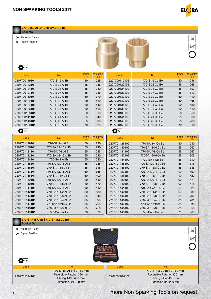**770-SM... Al Br | 770-SM... Cu Be**

**Sockets** > Aluminium Bronze

Copper Beryllium





| $O$ mm        |                |                   |                |               |                |                   |                |
|---------------|----------------|-------------------|----------------|---------------|----------------|-------------------|----------------|
| Code          | No.            | l/mm<br>$\mapsto$ | Weight/g<br>55 | Code          | No.            | l/mm<br>$\mapsto$ | Weight/g<br>54 |
| 2207700119101 | 770-S 19 Al Br | 50                | 225            | 2207700119102 | 770-S 19 Cu Be | 50                | 246            |
| 2207700122101 | 770-S 22 AI Br | 55                | 245            | 2207700122102 | 770-S 22 Cu Be | 55                | 268            |
| 2207700124101 | 770-S 24 Al Br | 55                | 280            | 2207700124102 | 770-S 24 Cu Be | 55                | 307            |
| 2207700127101 | 770-S 27 AI Br | 55                | 285            | 2207700127102 | 770-S 27 Cu Be | 55                | 312            |
| 2207700130101 | 770-S 30 AI Br | 60                | 370            | 2207700130102 | 770-S 30 Cu Be | 60                | 410            |
| 2207700132101 | 770-S 32 AI Br | 60                | 410            | 2207700132102 | 770-S 32 Cu Be | 60                | 465            |
| 2207700134101 | 770-S 34 Al Br | 60                | 440            | 2207700134102 | 770-S 34 Cu Be | 60                | 480            |
| 2207700136101 | 770-S 36 Al Br | 60                | 465            | 2207700136102 | 770-S 36 Cu Be | 60                | 510            |
| 2207700138101 | 770-S 38 Al Br | 60                | 510            | 2207700138102 | 770-S 38 Cu Be | 60                | 555            |
| 2207700141101 | 770-S 41 Al Br | 65                | 640            | 2207700141102 | 770-S 41 Cu Be | 65                | 660            |
| 2207700146101 | 770-S 46 Al Br | 65                | 690            | 2207700146102 | 770-S 46 Cu Be | 65                | 765            |
| 2207700150101 | 770-S 50 Al Br | 70                | 825            | 2207700150102 | 770-S 50 Cu Be | 70                | 910            |
| AF"           |                |                   |                | AF"           |                |                   |                |

### **OAF**

| Code          | No.                  | l/mm<br>$\mapsto$ | Weight/g<br>రచ | Code          | No.                  | l/mm<br>$\mapsto$ | Weight/g<br>55 |
|---------------|----------------------|-------------------|----------------|---------------|----------------------|-------------------|----------------|
| 2207701128101 | 770-SA 3/4 Al Br     | 50                | 220            | 2207701128102 | 770-SA 3/4 Cu Be     | 50                | 240            |
| 2207701130101 | 770-SA 13/16 AI Br   | 55                | 240            | 2207701130102 | 770-SA 13/16 Cu Be   | 55                | 262            |
| 2207701131101 | 770-SA 7/8 Al Br     | 55                | 245            | 2207701131102 | 770-SA 7/8 Cu Be     | 55                | 267            |
| 2207701132101 | 770-SA 15/16 AI Br   | 55                | 280            | 2207701132102 | 770-SA 15/16 Cu Be   | 55                | 305            |
| 2207701134101 | 770-SA 1 Al Br       | 55                | 280            | 2207701134102 | 770-SA 1 Cu Be       | 55                | 310            |
| 2207701135101 | 770-SA 1.1/16 AI Br  | 55                | 285            | 2207701135102 | 770-SA 1.1/16 Cu Be  | 55                | 315            |
| 2207701136101 | 770-SA 1.1/8 AI Br   | 55                | 315            | 2207701136102 | 770-SA 1.1/8 Cu Be   | 55                | 345            |
| 2207701137101 | 770-SA 1.3/16 Al Br  | 60                | 365            | 2207701137102 | 770-SA 1.3/16 Cu Be  | 60                | 400            |
| 2207701138101 | 770-SA 1.1/4 Al Br   | 60                | 400            | 2207701138102 | 770-SA 1.1/4 Cu Be   | 60                | 437            |
| 2207701139101 | 770-SA 1.5/16 AI Br  | 60                | 430            | 2207701139102 | 770-SA 1.5/16 Cu Be  | 60                | 472            |
| 2207701140101 | 770-SA 1.3/8 Al Br   | 60                | 470            | 2207701140102 | 770-SA 1.3/8 Cu Be   | 60                | 515            |
| 2207701141101 | 770-SA 1.7/16 AI Br  | 60                | 480            | 2207701141102 | 770-SA 1.7/16 Cu Be  | 60                | 525            |
| 2207701142101 | 770-SA 1.1/2 Al Br   | 60                | 530            | 2207701142102 | 770-SA 1.1/2 Cu Be   | 60                | 580            |
| 2207701144101 | 770-SA 1.5/8 AI Br   | 65                | 640            | 2207701144102 | 770-SA 1.5/8 Cu Be   | 65                | 702            |
| 2207701146101 | 770-SA 1.3/4 Al Br   | 65                | 695            | 2207701146102 | 770-SA 1.3/4 Cu Be   | 65                | 761            |
| 2207701147101 | 770-SA 1.13/16 Al Br | 65                | 705            | 2207701147102 | 770-SA 1.13/16 Cu Be | 65                | 830            |
| 2207701148101 | 770-SA 1.7/8 AI Br   | 65                | 750            | 2207701148102 | 770-SA 1.7/8 Cu Be   | 65                | 850            |
| 2207701149101 | 770-SA 2 Al Br       | 70                | 870            | 2207701149102 | 770-SA 2 Cu Be       | 70                | 965            |



### **18** more Non Sparking Tools on request!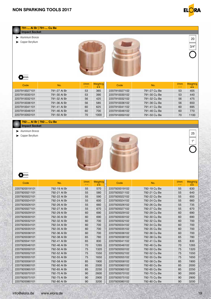

 $3/4"$ 

 $1"$ 

**791-... Al Br | 791-... Cu Be Impact Socket**

### > Aluminium Bronze

Copper Beryllium



### $\overline{\mathbf{O}^{mm}}$

| Code          | No.          | l/mm<br>$\mapsto$ | Weight/g<br>△△ | Code          | No.          | l/mm<br>$\mapsto$ | Weight/g<br>రా |
|---------------|--------------|-------------------|----------------|---------------|--------------|-------------------|----------------|
| 2207910027101 | 791-27 Al Br | 53                | 365            | 2207910027102 | 791-27 Cu Be | 53                | 405            |
| 2207910030101 | 791-30 Al Br | 53                | 390            | 2207910030102 | 791-30 Cu Be | 53                | 440            |
| 2207910032101 | 791-32 Al Br | 56                | 425            | 2207910032102 | 791-32 Cu Be | 56                | 475            |
| 2207910036101 | 791-36 Al Br | 56                | 585            | 2207910036102 | 791-36 Cu Be | 56                | 650            |
| 2207910041101 | 791-41 Al Br | 60                | 625            | 2207910041102 | 791-41 Cu Be | 60                | 695            |
| 2207910046101 | 791-46 Al Br | 60                | 700            | 2207910046102 | 791-46 Cu Be | 60                | 770            |
| 2207910050101 | 791-50 Al Br | 70                | 1000           | 2207910050102 | 791-50 Cu Be | 70                | 1100           |

### **792-... Al Br | 792-... Cu Be Impact Socket**

### > Aluminium Bronze

Copper Beryllium



### $\sum_{mm}$

| Code          | No.          | l/mm<br>$\mapsto$ | Weight/g<br>55 | Code          | No.          | l/mm<br>$\mapsto$ | Weight/g<br>55 |
|---------------|--------------|-------------------|----------------|---------------|--------------|-------------------|----------------|
| 2207920019101 | 792-19 Al Br | 55                | 570            | 2207920019102 | 792-19 Cu Be | 55                | 630            |
| 2207920021101 | 792-21 Al Br | 55                | 580            | 2207920021102 | 792-21 Cu Be | 55                | 640            |
| 2207920022101 | 792-22 Al Br | 55                | 590            | 2207920022102 | 792-22 Cu Be | 55                | 650            |
| 2207920024101 | 792-24 Al Br | 55                | 600            | 2207920024102 | 792-24 Cu Be | 55                | 660            |
| 2207920026101 | 792-26 Al Br | 55                | 660            | 2207920026102 | 792-26 Cu Be | 55                | 735            |
| 2207920027101 | 792-27 Al Br | 55                | 670            | 2207920027102 | 792-27 Cu Be | 55                | 670            |
| 2207920029101 | 792-29 Al Br | 60                | 690            | 2207920029102 | 792-29 Cu Be | 60                | 690            |
| 2207920030101 | 792-30 Al Br | 60                | 690            | 2207920030102 | 792-30 Cu Be | 60                | 690            |
| 2207920032101 | 792-32 Al Br | 60                | 700            | 2207920032102 | 792-32 Cu Be | 60                | 700            |
| 2207920034101 | 792-34 Al Br | 60                | 700            | 2207920034102 | 792-34 Cu Be | 60                | 700            |
| 2207920035101 | 792-35 Al Br | 60                | 700            | 2207920035102 | 792-35 Cu Be | 60                | 700            |
| 2207920036101 | 792-36 Al Br | 60                | 700            | 2207920036102 | 792-36 Cu Be | 60                | 700            |
| 2207920038101 | 792-38 Al Br | 65                | 780            | 2207920038102 | 792-38 Cu Be | 65                | 780            |
| 2207920041101 | 792-41 Al Br | 65                | 830            | 2207920041102 | 792-41 Cu Be | 65                | 830            |
| 2207920046101 | 792-46 Al Br | 70                | 1265           | 2207920046102 | 792-46 Cu Be | 70                | 1265           |
| 2207920050101 | 792-50 Al Br | 75                | 1320           | 2207920050102 | 792-50 Cu Be | 75                | 1320           |
| 2207920052101 | 792-52 Al Br | 75                | 1550           | 2207920052102 | 792-52 Cu Be | 75                | 1550           |
| 2207920055101 | 792-55 Al Br | 75                | 1650           | 2207920055102 | 792-55 Cu Be | 75                | 1650           |
| 2207920058101 | 792-58 Al Br | 85                | 1900           | 2207920058102 | 792-58 Cu Be | 85                | 1900           |
| 2207920060101 | 792-60 Al Br | 85                | 2000           | 2207920060102 | 792-60 Cu Be | 85                | 2000           |
| 2207920065101 | 792-65 Al Br | 85                | 2250           | 2207920065102 | 792-65 Cu Be | 85                | 2250           |
| 2207920070101 | 792-70 Al Br | 90                | 2600           | 2207920070102 | 792-70 Cu Be | 90                | 2600           |
| 2207920075101 | 792-75 Al Br | 90                | 2900           | 2207920075102 | 792-75 Cu Be | 90                | 2900           |
| 2207920080101 | 792-80 Al Br | 90                | 3200           | 2207920080102 | 792-80 Cu Be | 90                | 3200           |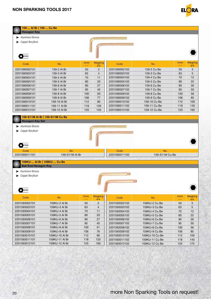



### > Aluminium Bronze

**>** Copper Beryllium

| пm<br>г |  |
|---------|--|

| Code          | No.          | l/mm<br>$\mapsto$ | Weight/g<br>రచ | Code          | No.          | l/mm<br>$\mapsto$ | Weight/g<br>రచ |
|---------------|--------------|-------------------|----------------|---------------|--------------|-------------------|----------------|
| 2201590002101 | 159-2 Al Br  | 50                | $\overline{2}$ | 2201590002102 | 159-2 Cu Be  | 50                | 3              |
| 2201590003101 | 159-3 Al Br  | 63                | $\overline{4}$ | 2201590003102 | 159-3 Cu Be  | 63                | 5              |
| 2201590004101 | 159-4 Al Br  | 70                | 11             | 2201590004102 | 159-4 Cu Be  | 70                | 12             |
| 2201590005101 | 159-5 Al Br  | 80                | 20             | 2201590005102 | 159-5 Cu Be  | 80                | 22             |
| 2201590006101 | 159-6 Al Br  | 90                | 27             | 2201590006102 | 159-6 Cu Be  | 90                | 30             |
| 2201590007101 | 159-7 Al Br  | 95                | 45             | 2201590007102 | 159-7 Cu Be  | 95                | 50             |
| 2201590008101 | 159-8 Al Br  | 100               | 50             | 2201590008102 | 159-8 Cu Be  | 100               | 56             |
| 2201590009101 | 159-9 Al Br  | 106               | 77             | 2201590009102 | 159-9 Cu Be  | 106               | 85             |
| 2201590010101 | 159-10 Al Br | 112               | 90             | 2201590010102 | 159-10 Cu Be | 112               | 100            |
| 2201590011101 | 159-11 Al Br | 118               | 126            | 2201590011102 | 159-11 Cu Be | 118               | 140            |
| 2201590012101 | 159-12 Al Br | 125               | 145            | 2201590012102 | 159-12 Cu Be | 125               | 162            |
|               |              |                   |                |               |              |                   |                |



2201593009102 159KU-9 Cu Be 106 85 2201593010102 159KU-10 Cu Be 112 100 2201593011102 159KU-11 Cu Be 118 140 2201593012102 159KU-12 Cu Be 125 175

2201593009101 159KU-9 Al Br 106 76 2201593010101 159KU-10 Al Br 112 90 2201593011101 159KU-11 Al Br 118 125 2201593012101 159KU-12 Al Br 125 160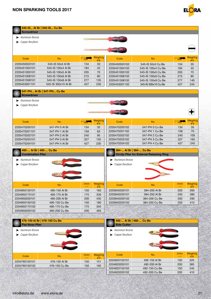

### **545-IS... Al Br | 545-IS... Cu Be**

### **Screwdriver**

### > Aluminium Bronze

Copper Beryllium

| ooppor Dorymann |                     |                 |                |               |                     |     |                |
|-----------------|---------------------|-----------------|----------------|---------------|---------------------|-----|----------------|
|                 |                     |                 |                |               |                     |     |                |
| Code            | No.                 | mm <sup>-</sup> | Weight/g<br>రచ | Code          | No.                 | mm  | Weight/g<br>రచ |
| 2205450503101   | 545-IS 50x3 AI Br   | 134             | 33             | 2205450503102 | 545-IS 50x3 Cu Be   | 134 | 35             |
| 2205451004101   | 545-IS 100x4 AI Br  | 184             | 42             | 2205451004102 | 545-IS 100x4 Cu Be  | 184 | 45             |
| 2205451005101   | 545-IS 100x5 AI Br  | 205             | 70             | 2205451005102 | 545-IS 100x5 Cu Be  | 205 | 75             |
| 2205451006101   | 545-IS 100x6 AI Br  | 215             | 80             | 2205451006102 | 545-IS 100x6 Cu Be  | 215 | 85             |
| 2205451508101   | 545-IS 150x8 AI Br  | 277             | 135            | 2205451508102 | 545-IS 150x8 Cu Be  | 277 | 140            |
| 2205453001101   | 545-IS 300x10 AI Br | 427             | 230            | 2205453001102 | 545-IS 300x10 Cu Be | 427 | 245            |

### **547-PH... Al Br | 547-PH... Cu Be Screwdriver**

- > Aluminium Bronze
- > Copper Beryllium





| Code          | No.            | <sub>mm</sub> | <b>Neight/g</b><br>52 | Code          | No.            | mm  | 55  |
|---------------|----------------|---------------|-----------------------|---------------|----------------|-----|-----|
| 2205470200101 | 547-PH 0 Al Br | 134           | 32                    | 2205470200102 | 547-PH 0 Cu Be | 134 | 35  |
| 2205470201101 | 547-PH 1 Al Br | 159           | 63                    | 2205470201102 | 547-PH 1 Cu Be | 159 | 70  |
| 2205470202101 | 547-PH 2 Al Br | 240           | 95                    | 2205470202102 | 547-PH 2 Cu Be | 240 | 100 |
| 2205470203101 | 547-PH 3 AI Br | 327           | 155                   | 2205470203102 | 547-PH 3 Cu Be | 327 | 165 |
| 2205470204101 | 547-PH 4 AI Br | 427           | 230                   | 2205470204102 | 547-PH 4 Cu Be | 427 | 245 |



2204950200102 495-200 Cu Be 200 465

### **384-... Al Br | 384-... Cu Be**

### **Circlip Plier for External Retaining Ring** > Aluminium Bronze

> Copper Beryllium



| Code          | No.           | 1/mm | Weight/g |
|---------------|---------------|------|----------|
| 2203840200101 | 384-200 Al Br | 200  | 265      |
| 2203840250101 | 384-250 Al Br | 250  | 380      |
| 2203840200102 | 384-200 Cu Be | 200  | 290      |
| 2203840250102 | 384-250 Cu Be | 250  | 415      |
|               |               |      |          |

|   |                        | 476-150 Al Br   476-150 Cu Be |                  |           |                       | 492- Al Br   492- Cu Be |                   |                |
|---|------------------------|-------------------------------|------------------|-----------|-----------------------|-------------------------|-------------------|----------------|
|   | <b>Flat Nose Plier</b> |                               |                  |           | <b>Side Cutter</b>    |                         |                   |                |
| ➤ | Aluminium Bronze       |                               |                  |           | Aluminium Bronze<br>➤ |                         |                   |                |
| ➤ | Copper Beryllium       |                               |                  |           | Copper Beryllium      |                         |                   |                |
|   |                        |                               |                  |           |                       |                         |                   |                |
|   |                        |                               |                  |           |                       |                         |                   |                |
|   |                        |                               |                  |           |                       |                         |                   |                |
|   |                        |                               |                  |           |                       |                         |                   |                |
|   | Code                   | No.                           | l/mm             | Weight/g  | Code                  | No.                     | l/mm<br>$\mapsto$ | Weight/g<br>రా |
|   | 2204760150101          | 476-150 Al Br                 | $\mapsto$<br>150 | రచ<br>151 | 2204920150101         | 492-150 Al Br           | 150               | 225            |
|   | 2204760150102          | 476-150 Cu Be                 | 150              | 165       | 2204920200101         | 492-200 Al Br           | 200               | 365            |
|   |                        |                               |                  |           | 2204920150102         | 492-150 Cu Be           | 150               | 245            |
|   |                        |                               |                  |           | 2204920200102         | 492-200 Cu Be           | 200               | 410            |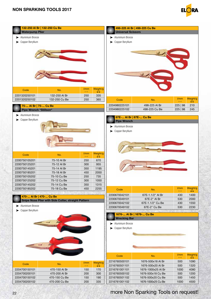



### 22 and 22 more Non Sparking Tools on request!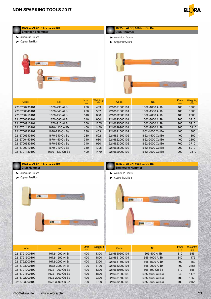





### info@elora.de www.elora.de 23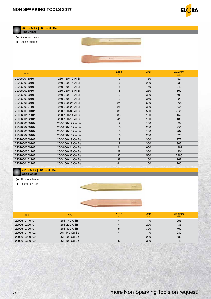**260-... Al Br | 260-... Cu Be Flat Chisel**

### > Aluminium Bronze

³ Copper Beryllium



| Code          | No.              | Edge | l/mm      | Weight/g |
|---------------|------------------|------|-----------|----------|
|               |                  | mm   | $\mapsto$ | 55       |
| 2202600150101 | 260-150x12 Al Br | 12   | 150       | 92       |
| 2202600200101 | 260-200x16 AI Br | 16   | 200       | 231      |
| 2202600160101 | 260-160x18 Al Br | 18   | 160       | 242      |
| 2202600250101 | 260-250x16 Al Br | 16   | 250       | 302      |
| 2202600300101 | 260-300x19 Al Br | 19   | 300       | 701      |
| 2202600350101 | 260-350x19 Al Br | 19   | 350       | 821      |
| 2202600600101 | 260-600x24 Al Br | 24   | 600       | 1702     |
| 2202600301101 | 260-300x28 Al Br | 28   | 300       | 1090     |
| 2202600500101 | 260-500x35 AI Br | 35   | 500       | 2620     |
| 2202600161101 | 260-160x14 Al Br | 38   | 160       | 152      |
| 2202600162101 | 260-160x16 Al Br | 41   | 160       | 188      |
| 2202600150102 | 260-150x12 Cu Be | 12   | 150       | 98       |
| 2202600200102 | 260-200x16 Cu Be | 16   | 200       | 251      |
| 2202600160102 | 260-160x18 Cu Be | 18   | 160       | 262      |
| 2202600250102 | 260-250x16 Cu Be | 16   | 250       | 320      |
| 2202600300102 | 260-300x19 Cu Be | 19   | 300       | 772      |
| 2202600350102 | 260-350x19 Cu Be | 19   | 350       | 903      |
| 2202600600102 | 260-600x24 Cu Be | 24   | 600       | 1861     |
| 2202600301102 | 260-300x28 Cu Be | 28   | 300       | 1204     |
| 2202600500102 | 260-500x35 Cu Be | 35   | 500       | 2860     |
| 2202600161102 | 260-160x14 Cu Be | 38   | 160       | 167      |
| 2202600162102 | 260-160x16 Cu Be | 41   | 160       | 205      |

### **261... Al Br | 261-... Cu Be Cape Chisel**

- > Aluminium Bronze
- $\blacktriangleright$  Copper Beryllium



| Code          | No.           | Edge<br><sub>mm</sub> | l/mm<br>$\mapsto$ | Weight/g<br>$\Delta \Delta$ |
|---------------|---------------|-----------------------|-------------------|-----------------------------|
| 2202610140101 | 261-140 Al Br | $\boldsymbol{4}$      | 140               | 255                         |
| 2202610200101 | 261-200 Al Br | $\Delta$              | 200               | 435                         |
| 2202610300101 | 261-300 AI Br | -5                    | 300               | 760                         |
| 2202610140102 | 261-140 Cu Be | 4                     | 140               | 280                         |
| 2202610200102 | 261-200 Cu Be | $\boldsymbol{4}$      | 200               | 480                         |
| 2202610300102 | 261-300 Cu Be | 5                     | 300               | 840                         |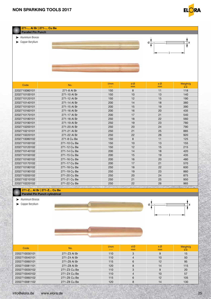



### **271-Z... Al Br | 271-Z... Cu Be**

- **Parallel Pin Punch cylindrical**
- > Aluminium Bronze
- **>** Copper Beryllium





ົ ຣ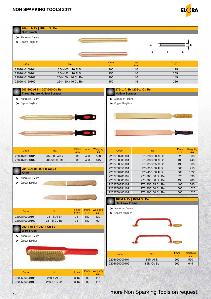

### 26 and 26 more Non Sparking Tools on request!

2202500000102 250-4 Cu Be 4x16 290 115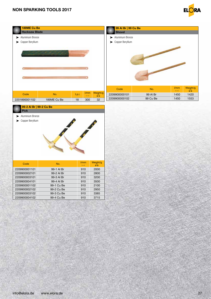



2209900004102 99-4 Cu Be 910 3715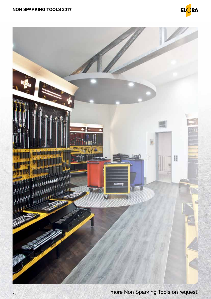

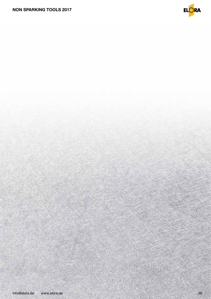